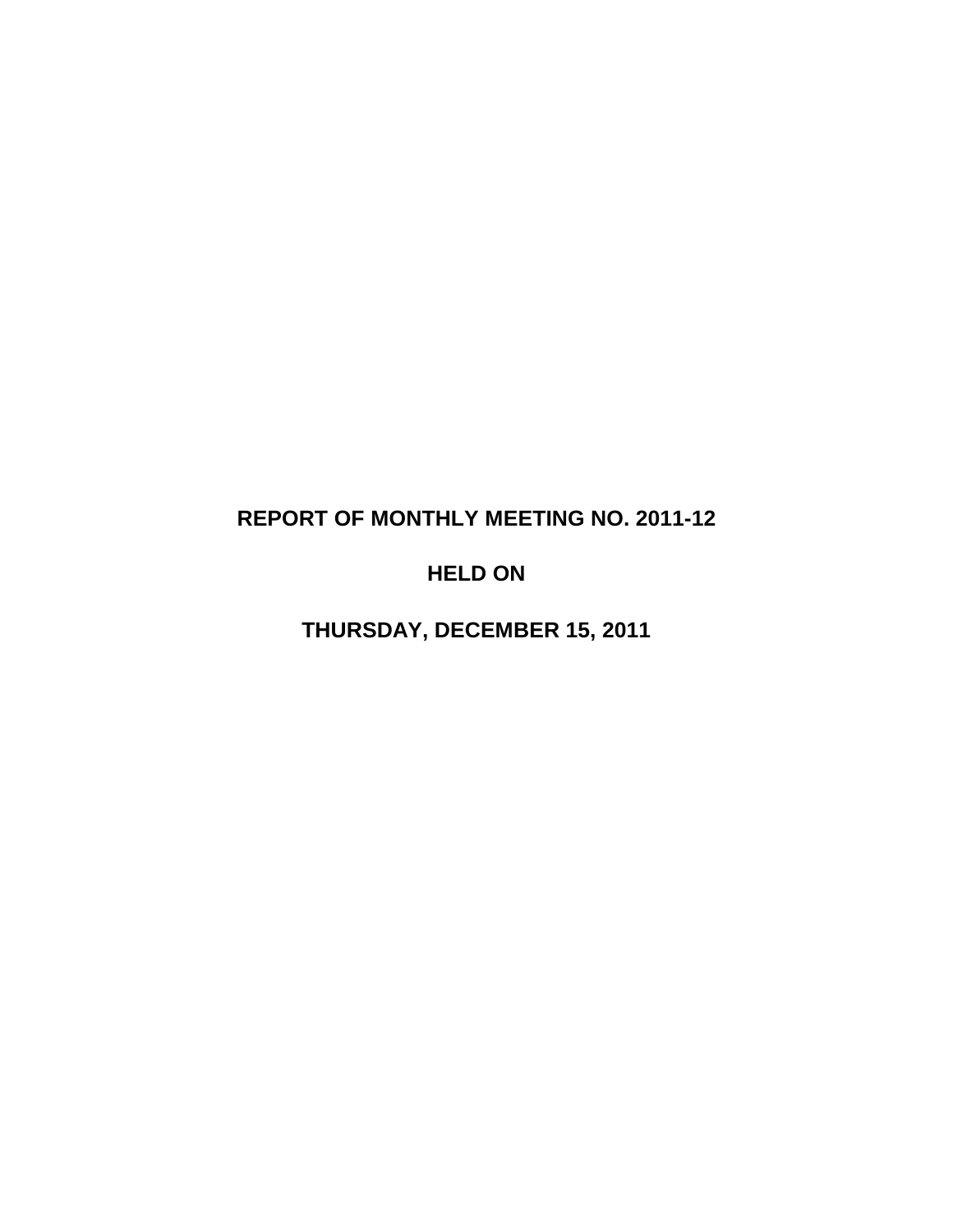# **REPORT OF MONTHLY MEETING NO. 2011-12**

# **HELD ON**

**THURSDAY, DECEMBER 15, 2011**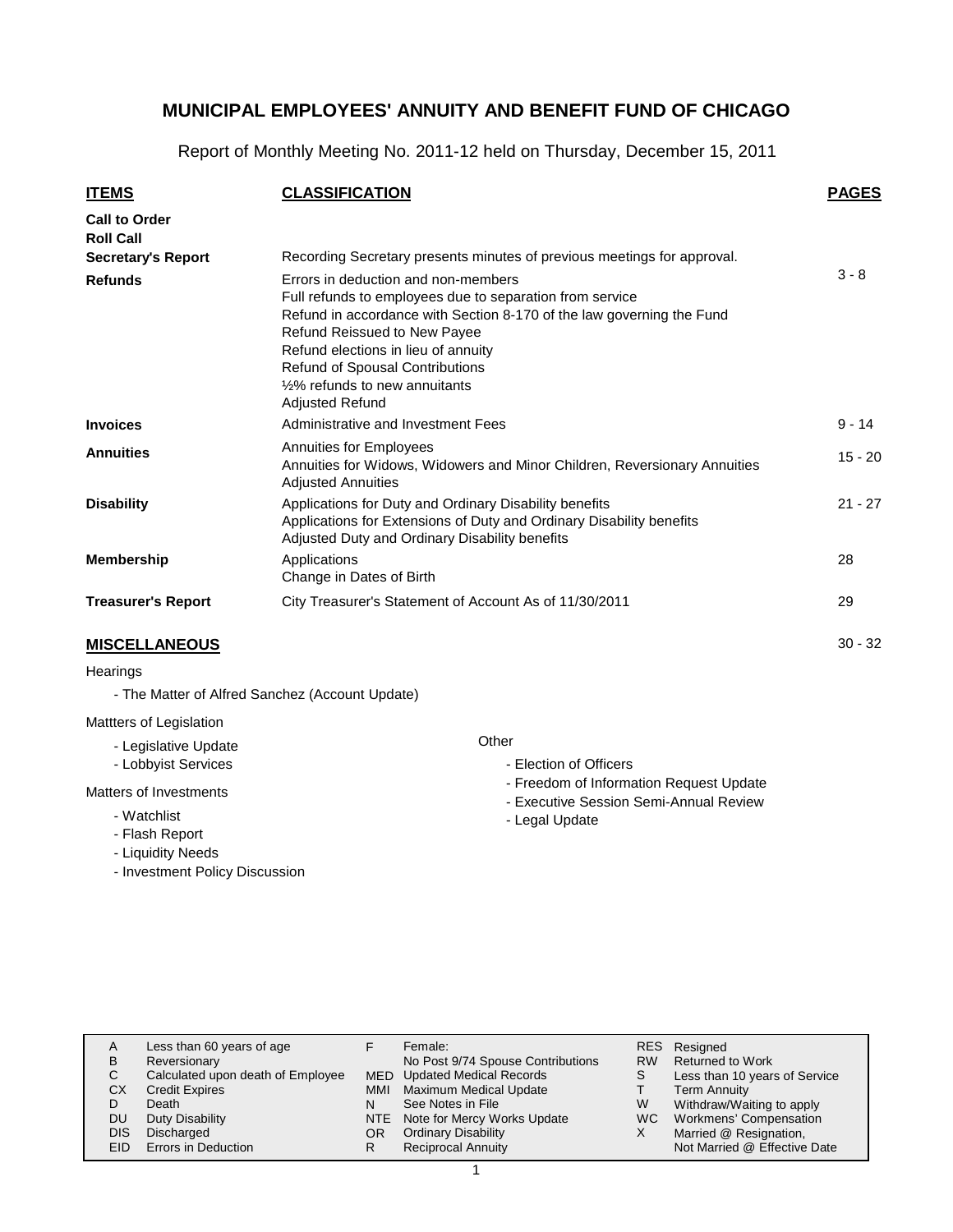Report of Monthly Meeting No. 2011-12 held on Thursday, December 15, 2011

| <b>ITEMS</b>                                                          | <b>CLASSIFICATION</b>                                                                                                                                                                                                                                                                                                                   | <b>PAGES</b> |
|-----------------------------------------------------------------------|-----------------------------------------------------------------------------------------------------------------------------------------------------------------------------------------------------------------------------------------------------------------------------------------------------------------------------------------|--------------|
| <b>Call to Order</b><br><b>Roll Call</b><br><b>Secretary's Report</b> | Recording Secretary presents minutes of previous meetings for approval.                                                                                                                                                                                                                                                                 |              |
| <b>Refunds</b>                                                        | Errors in deduction and non-members<br>Full refunds to employees due to separation from service<br>Refund in accordance with Section 8-170 of the law governing the Fund<br>Refund Reissued to New Payee<br>Refund elections in lieu of annuity<br>Refund of Spousal Contributions<br>1/2% refunds to new annuitants<br>Adjusted Refund | $3 - 8$      |
| <b>Invoices</b>                                                       | Administrative and Investment Fees                                                                                                                                                                                                                                                                                                      | $9 - 14$     |
| <b>Annuities</b>                                                      | Annuities for Employees<br>Annuities for Widows, Widowers and Minor Children, Reversionary Annuities<br><b>Adjusted Annuities</b>                                                                                                                                                                                                       | $15 - 20$    |
| <b>Disability</b>                                                     | Applications for Duty and Ordinary Disability benefits<br>Applications for Extensions of Duty and Ordinary Disability benefits<br>Adjusted Duty and Ordinary Disability benefits                                                                                                                                                        | $21 - 27$    |
| <b>Membership</b>                                                     | Applications<br>Change in Dates of Birth                                                                                                                                                                                                                                                                                                | 28           |
| <b>Treasurer's Report</b>                                             | City Treasurer's Statement of Account As of 11/30/2011                                                                                                                                                                                                                                                                                  | 29           |
| <b>MISCELLANEOUS</b>                                                  |                                                                                                                                                                                                                                                                                                                                         | $30 - 32$    |

#### **Hearings**

- The Matter of Alfred Sanchez (Account Update)

#### Mattters of Legislation

- Legislative Update
- Lobbyist Services

#### Matters of Investments

- Watchlist
- Flash Report
- Liquidity Needs
- Investment Policy Discussion

#### **Other**

- Election of Officers
- Freedom of Information Request Update
- Executive Session Semi-Annual Review
- Legal Update

| в<br>С<br>СX<br>DU | Less than 60 years of age<br>Reversionary<br>Calculated upon death of Employee<br><b>Credit Expires</b><br>Death<br>Duty Disability | MMI | Female:<br>No Post 9/74 Spouse Contributions<br><b>MED</b> Updated Medical Records<br>Maximum Medical Update<br>See Notes in File<br>NTE Note for Mercy Works Update | <b>RW</b><br>W<br>WC. | RES Resigned<br><b>Returned to Work</b><br>Less than 10 years of Service<br><b>Term Annuity</b><br>Withdraw/Waiting to apply<br>Workmens' Compensation |
|--------------------|-------------------------------------------------------------------------------------------------------------------------------------|-----|----------------------------------------------------------------------------------------------------------------------------------------------------------------------|-----------------------|--------------------------------------------------------------------------------------------------------------------------------------------------------|
| DIS                | Discharged                                                                                                                          | OR  | <b>Ordinary Disability</b>                                                                                                                                           |                       | Married @ Resignation,                                                                                                                                 |
| EID                | Errors in Deduction                                                                                                                 |     | <b>Reciprocal Annuity</b>                                                                                                                                            |                       | Not Married @ Effective Date                                                                                                                           |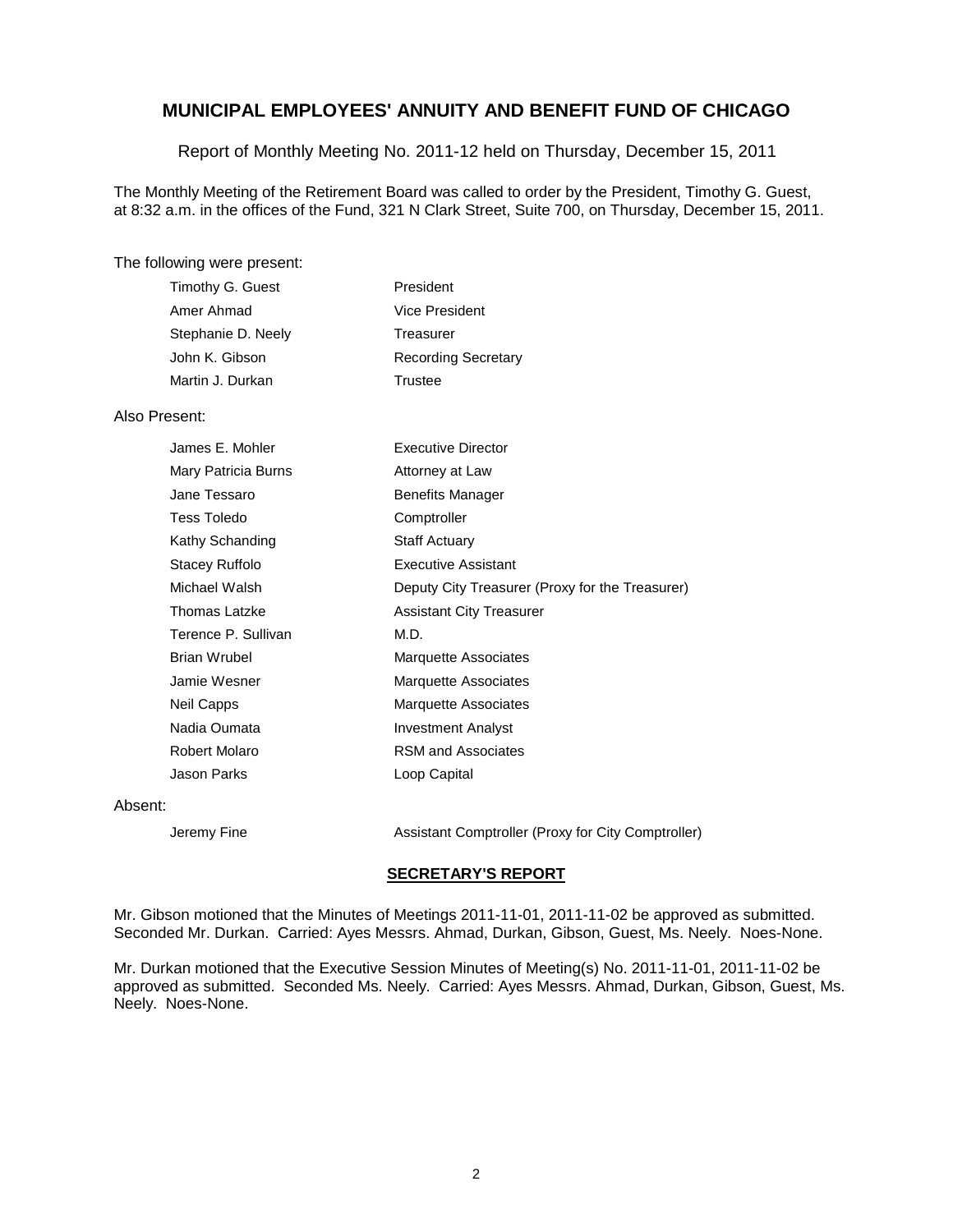Report of Monthly Meeting No. 2011-12 held on Thursday, December 15, 2011

The Monthly Meeting of the Retirement Board was called to order by the President, Timothy G. Guest, at 8:32 a.m. in the offices of the Fund, 321 N Clark Street, Suite 700, on Thursday, December 15, 2011.

#### The following were present:

| President                  |
|----------------------------|
| Vice President             |
| Treasurer                  |
| <b>Recording Secretary</b> |
| Trustee                    |
|                            |

#### Also Present:

| James E. Mohler      | <b>Executive Director</b>                       |
|----------------------|-------------------------------------------------|
| Mary Patricia Burns  | Attorney at Law                                 |
| Jane Tessaro         | <b>Benefits Manager</b>                         |
| <b>Tess Toledo</b>   | Comptroller                                     |
| Kathy Schanding      | <b>Staff Actuary</b>                            |
| Stacey Ruffolo       | Executive Assistant                             |
| Michael Walsh        | Deputy City Treasurer (Proxy for the Treasurer) |
| <b>Thomas Latzke</b> | <b>Assistant City Treasurer</b>                 |
| Terence P. Sullivan  | M.D.                                            |
| <b>Brian Wrubel</b>  | <b>Marquette Associates</b>                     |
| Jamie Wesner         | <b>Marquette Associates</b>                     |
| Neil Capps           | <b>Marquette Associates</b>                     |
| Nadia Oumata         | <b>Investment Analyst</b>                       |
| Robert Molaro        | RSM and Associates                              |
| Jason Parks          | Loop Capital                                    |
| Absent:              |                                                 |

Jeremy Fine **Assistant Comptroller (Proxy for City Comptroller)** 

#### **SECRETARY'S REPORT**

Mr. Gibson motioned that the Minutes of Meetings 2011-11-01, 2011-11-02 be approved as submitted. Seconded Mr. Durkan. Carried: Ayes Messrs. Ahmad, Durkan, Gibson, Guest, Ms. Neely. Noes-None.

Mr. Durkan motioned that the Executive Session Minutes of Meeting(s) No. 2011-11-01, 2011-11-02 be approved as submitted. Seconded Ms. Neely. Carried: Ayes Messrs. Ahmad, Durkan, Gibson, Guest, Ms. Neely. Noes-None.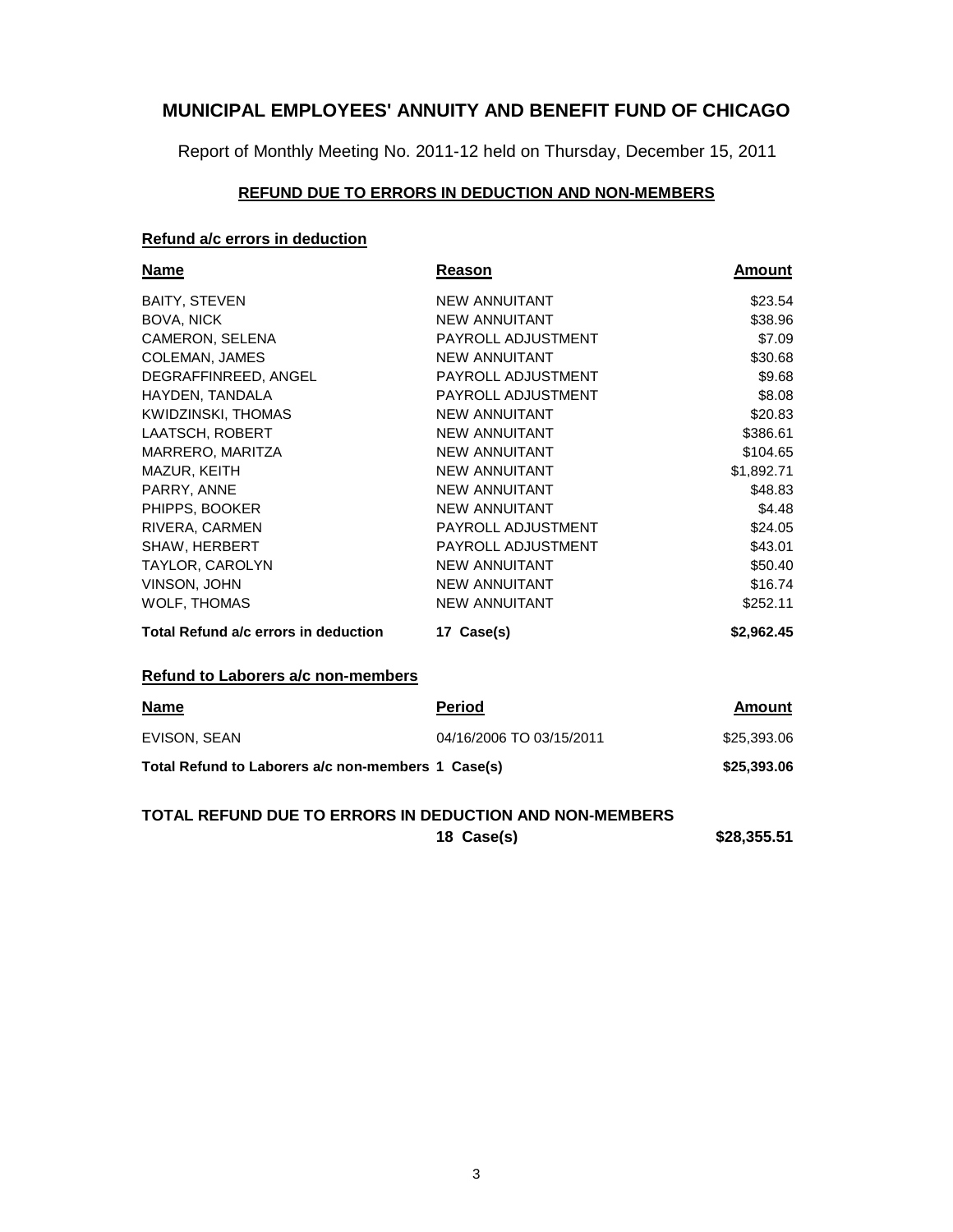Report of Monthly Meeting No. 2011-12 held on Thursday, December 15, 2011

#### **REFUND DUE TO ERRORS IN DEDUCTION AND NON-MEMBERS**

## **Refund a/c errors in deduction**

| <b>Name</b>                          | Reason                   | <b>Amount</b> |
|--------------------------------------|--------------------------|---------------|
| <b>BAITY, STEVEN</b>                 | <b>NEW ANNUITANT</b>     | \$23.54       |
| <b>BOVA, NICK</b>                    | <b>NEW ANNUITANT</b>     | \$38.96       |
| CAMERON, SELENA                      | PAYROLL ADJUSTMENT       | \$7.09        |
| COLEMAN, JAMES                       | <b>NEW ANNUITANT</b>     | \$30.68       |
| DEGRAFFINREED, ANGEL                 | PAYROLL ADJUSTMENT       | \$9.68        |
| HAYDEN, TANDALA                      | PAYROLL ADJUSTMENT       | \$8.08        |
| KWIDZINSKI, THOMAS                   | <b>NEW ANNUITANT</b>     | \$20.83       |
| <b>LAATSCH, ROBERT</b>               | <b>NEW ANNUITANT</b>     | \$386.61      |
| MARRERO, MARITZA                     | NEW ANNUITANT            | \$104.65      |
| MAZUR, KEITH                         | <b>NEW ANNUITANT</b>     | \$1,892.71    |
| PARRY, ANNE                          | <b>NEW ANNUITANT</b>     | \$48.83       |
| PHIPPS, BOOKER                       | <b>NEW ANNUITANT</b>     | \$4.48        |
| RIVERA, CARMEN                       | PAYROLL ADJUSTMENT       | \$24.05       |
| SHAW, HERBERT                        | PAYROLL ADJUSTMENT       | \$43.01       |
| <b>TAYLOR, CAROLYN</b>               | <b>NEW ANNUITANT</b>     | \$50.40       |
| <b>VINSON, JOHN</b>                  | <b>NEW ANNUITANT</b>     | \$16.74       |
| <b>WOLF, THOMAS</b>                  | <b>NEW ANNUITANT</b>     | \$252.11      |
| Total Refund a/c errors in deduction | 17 Case(s)               | \$2,962.45    |
| Refund to Laborers a/c non-members   |                          |               |
| <b>Name</b>                          | <b>Period</b>            | Amount        |
| <b>EVISON, SEAN</b>                  | 04/16/2006 TO 03/15/2011 | \$25,393.06   |

| Total Refund to Laborers a/c non-members 1 Case(s) | \$25,393.06 |
|----------------------------------------------------|-------------|

## **TOTAL REFUND DUE TO ERRORS IN DEDUCTION AND NON-MEMBERS**

**18 Case(s) \$28,355.51**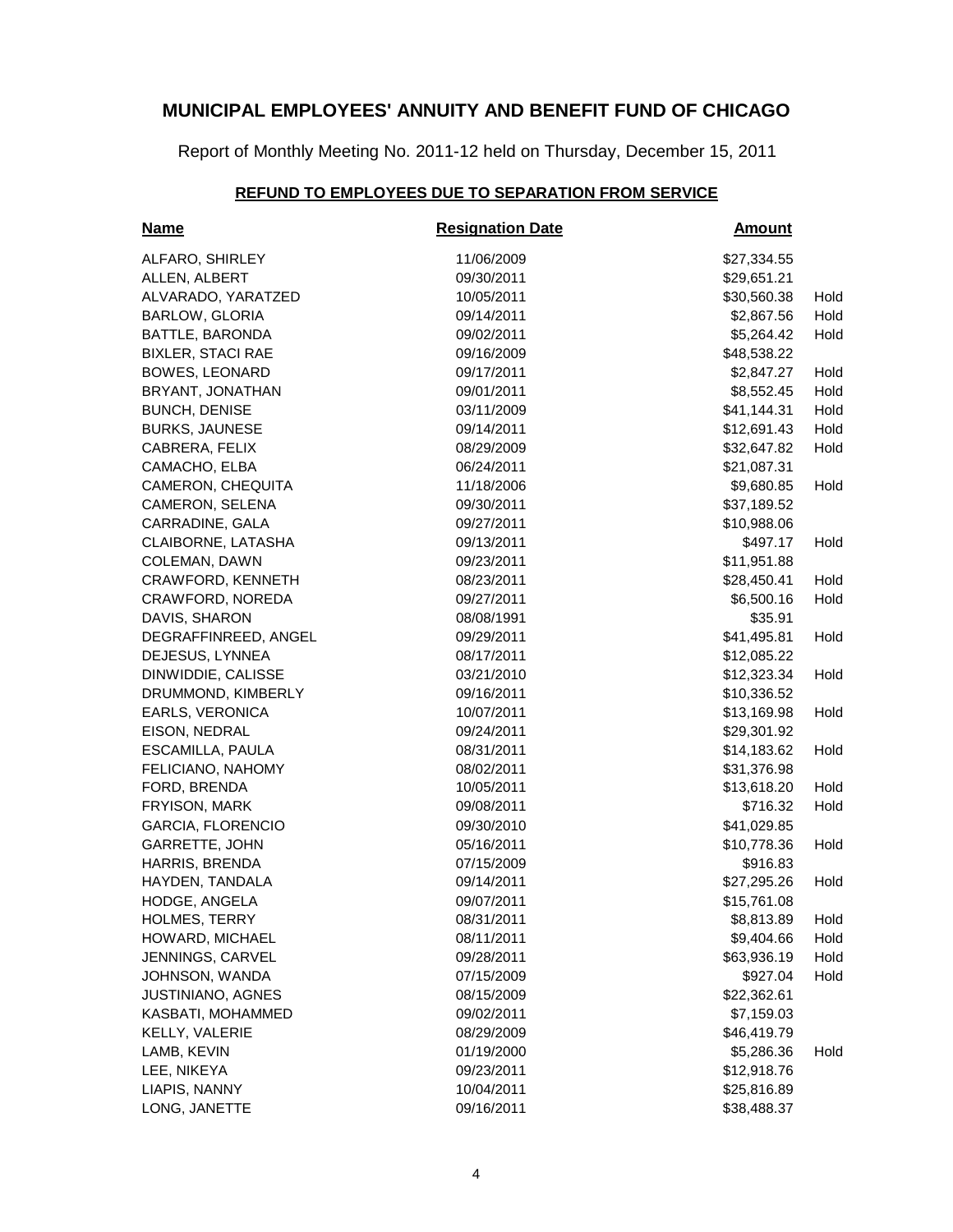Report of Monthly Meeting No. 2011-12 held on Thursday, December 15, 2011

## **REFUND TO EMPLOYEES DUE TO SEPARATION FROM SERVICE**

| <u>Name</u>              | <b>Resignation Date</b> | <b>Amount</b> |      |
|--------------------------|-------------------------|---------------|------|
| ALFARO, SHIRLEY          | 11/06/2009              | \$27,334.55   |      |
| ALLEN, ALBERT            | 09/30/2011              | \$29,651.21   |      |
| ALVARADO, YARATZED       | 10/05/2011              | \$30,560.38   | Hold |
| BARLOW, GLORIA           | 09/14/2011              | \$2,867.56    | Hold |
| BATTLE, BARONDA          | 09/02/2011              | \$5,264.42    | Hold |
| <b>BIXLER, STACI RAE</b> | 09/16/2009              | \$48,538.22   |      |
| <b>BOWES, LEONARD</b>    | 09/17/2011              | \$2,847.27    | Hold |
| BRYANT, JONATHAN         | 09/01/2011              | \$8,552.45    | Hold |
| <b>BUNCH, DENISE</b>     | 03/11/2009              | \$41,144.31   | Hold |
| <b>BURKS, JAUNESE</b>    | 09/14/2011              | \$12,691.43   | Hold |
| CABRERA, FELIX           | 08/29/2009              | \$32,647.82   | Hold |
| CAMACHO, ELBA            | 06/24/2011              | \$21,087.31   |      |
| CAMERON, CHEQUITA        | 11/18/2006              | \$9,680.85    | Hold |
| CAMERON, SELENA          | 09/30/2011              | \$37,189.52   |      |
| CARRADINE, GALA          | 09/27/2011              | \$10,988.06   |      |
| CLAIBORNE, LATASHA       | 09/13/2011              | \$497.17      | Hold |
| COLEMAN, DAWN            | 09/23/2011              | \$11,951.88   |      |
| CRAWFORD, KENNETH        | 08/23/2011              | \$28,450.41   | Hold |
| CRAWFORD, NOREDA         | 09/27/2011              | \$6,500.16    | Hold |
| DAVIS, SHARON            | 08/08/1991              | \$35.91       |      |
| DEGRAFFINREED, ANGEL     | 09/29/2011              | \$41,495.81   | Hold |
| DEJESUS, LYNNEA          | 08/17/2011              | \$12,085.22   |      |
| DINWIDDIE, CALISSE       | 03/21/2010              | \$12,323.34   | Hold |
| DRUMMOND, KIMBERLY       | 09/16/2011              | \$10,336.52   |      |
| EARLS, VERONICA          | 10/07/2011              | \$13,169.98   | Hold |
| EISON, NEDRAL            | 09/24/2011              | \$29,301.92   |      |
| ESCAMILLA, PAULA         | 08/31/2011              | \$14,183.62   | Hold |
| FELICIANO, NAHOMY        | 08/02/2011              | \$31,376.98   |      |
| FORD, BRENDA             | 10/05/2011              | \$13,618.20   | Hold |
| FRYISON, MARK            | 09/08/2011              | \$716.32      | Hold |
| <b>GARCIA, FLORENCIO</b> | 09/30/2010              | \$41,029.85   |      |
| <b>GARRETTE, JOHN</b>    | 05/16/2011              | \$10,778.36   | Hold |
| HARRIS, BRENDA           | 07/15/2009              | \$916.83      |      |
| HAYDEN, TANDALA          | 09/14/2011              | \$27,295.26   | Hold |
| HODGE, ANGELA            | 09/07/2011              | \$15,761.08   |      |
| HOLMES, TERRY            | 08/31/2011              | \$8,813.89    | Hold |
| HOWARD, MICHAEL          | 08/11/2011              | \$9,404.66    | Hold |
| JENNINGS, CARVEL         | 09/28/2011              | \$63,936.19   | Hold |
| JOHNSON, WANDA           | 07/15/2009              | \$927.04      | Hold |
| JUSTINIANO, AGNES        | 08/15/2009              | \$22,362.61   |      |
| KASBATI, MOHAMMED        | 09/02/2011              | \$7,159.03    |      |
| KELLY, VALERIE           | 08/29/2009              | \$46,419.79   |      |
| LAMB, KEVIN              | 01/19/2000              | \$5,286.36    | Hold |
| LEE, NIKEYA              | 09/23/2011              | \$12,918.76   |      |
| LIAPIS, NANNY            | 10/04/2011              | \$25,816.89   |      |
| LONG, JANETTE            | 09/16/2011              | \$38,488.37   |      |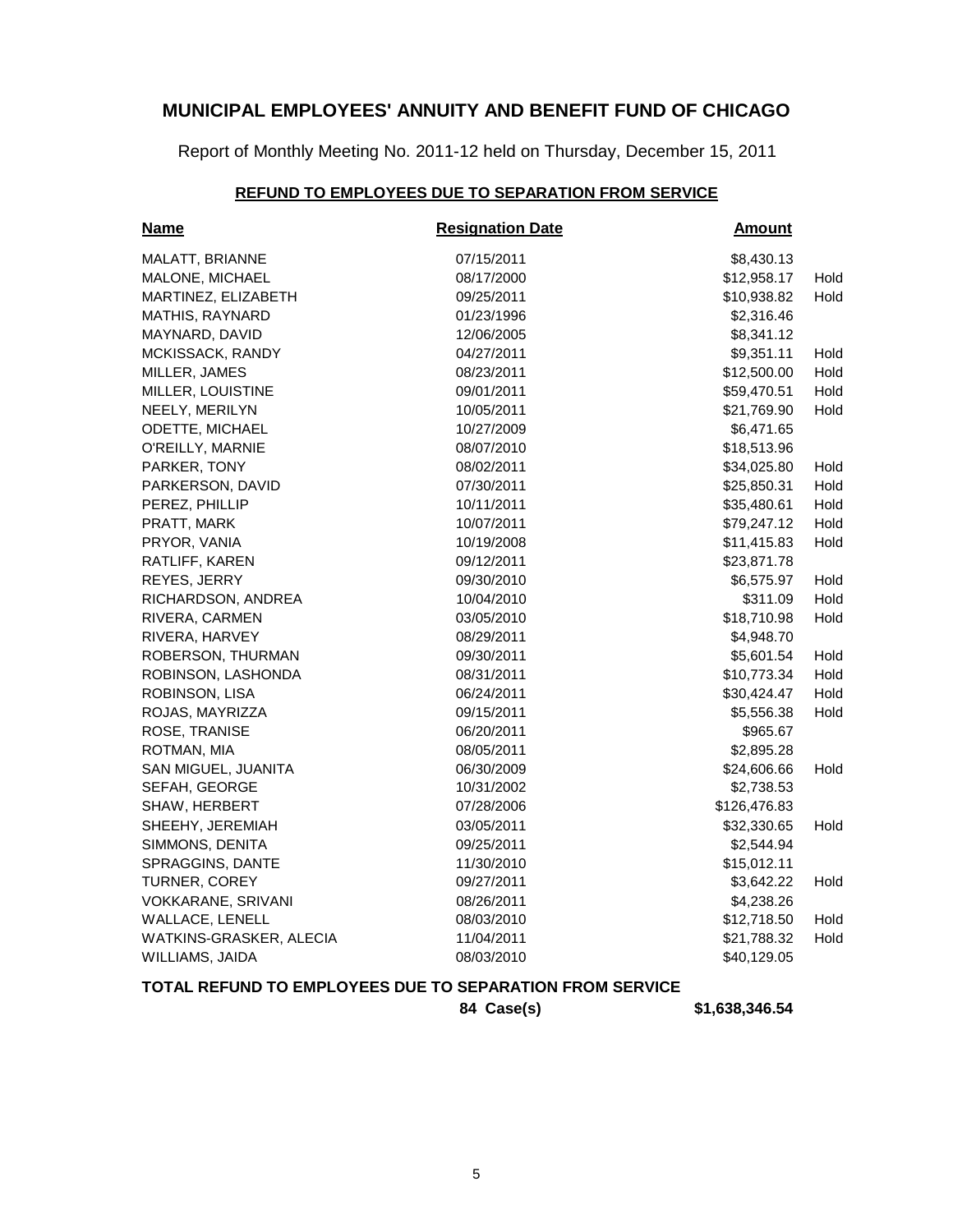Report of Monthly Meeting No. 2011-12 held on Thursday, December 15, 2011

## **REFUND TO EMPLOYEES DUE TO SEPARATION FROM SERVICE**

| <b>Name</b>             | <b>Resignation Date</b> | <b>Amount</b> |      |
|-------------------------|-------------------------|---------------|------|
| MALATT, BRIANNE         | 07/15/2011              | \$8,430.13    |      |
| MALONE, MICHAEL         | 08/17/2000              | \$12,958.17   | Hold |
| MARTINEZ, ELIZABETH     | 09/25/2011              | \$10,938.82   | Hold |
| <b>MATHIS, RAYNARD</b>  | 01/23/1996              | \$2,316.46    |      |
| MAYNARD, DAVID          | 12/06/2005              | \$8,341.12    |      |
| MCKISSACK, RANDY        | 04/27/2011              | \$9,351.11    | Hold |
| MILLER, JAMES           | 08/23/2011              | \$12,500.00   | Hold |
| MILLER, LOUISTINE       | 09/01/2011              | \$59,470.51   | Hold |
| NEELY, MERILYN          | 10/05/2011              | \$21,769.90   | Hold |
| <b>ODETTE, MICHAEL</b>  | 10/27/2009              | \$6,471.65    |      |
| O'REILLY, MARNIE        | 08/07/2010              | \$18,513.96   |      |
| PARKER, TONY            | 08/02/2011              | \$34,025.80   | Hold |
| PARKERSON, DAVID        | 07/30/2011              | \$25,850.31   | Hold |
| PEREZ, PHILLIP          | 10/11/2011              | \$35,480.61   | Hold |
| PRATT, MARK             | 10/07/2011              | \$79,247.12   | Hold |
| PRYOR, VANIA            | 10/19/2008              | \$11,415.83   | Hold |
| RATLIFF, KAREN          | 09/12/2011              | \$23,871.78   |      |
| REYES, JERRY            | 09/30/2010              | \$6,575.97    | Hold |
| RICHARDSON, ANDREA      | 10/04/2010              | \$311.09      | Hold |
| RIVERA, CARMEN          | 03/05/2010              | \$18,710.98   | Hold |
| RIVERA, HARVEY          | 08/29/2011              | \$4,948.70    |      |
| ROBERSON, THURMAN       | 09/30/2011              | \$5,601.54    | Hold |
| ROBINSON, LASHONDA      | 08/31/2011              | \$10,773.34   | Hold |
| ROBINSON, LISA          | 06/24/2011              | \$30,424.47   | Hold |
| ROJAS, MAYRIZZA         | 09/15/2011              | \$5,556.38    | Hold |
| ROSE, TRANISE           | 06/20/2011              | \$965.67      |      |
| ROTMAN, MIA             | 08/05/2011              | \$2,895.28    |      |
| SAN MIGUEL, JUANITA     | 06/30/2009              | \$24,606.66   | Hold |
| SEFAH, GEORGE           | 10/31/2002              | \$2,738.53    |      |
| SHAW, HERBERT           | 07/28/2006              | \$126,476.83  |      |
| SHEEHY, JEREMIAH        | 03/05/2011              | \$32,330.65   | Hold |
| SIMMONS, DENITA         | 09/25/2011              | \$2,544.94    |      |
| SPRAGGINS, DANTE        | 11/30/2010              | \$15,012.11   |      |
| TURNER, COREY           | 09/27/2011              | \$3,642.22    | Hold |
| VOKKARANE, SRIVANI      | 08/26/2011              | \$4,238.26    |      |
| WALLACE, LENELL         | 08/03/2010              | \$12,718.50   | Hold |
| WATKINS-GRASKER, ALECIA | 11/04/2011              | \$21,788.32   | Hold |
| WILLIAMS, JAIDA         | 08/03/2010              | \$40,129.05   |      |

## **TOTAL REFUND TO EMPLOYEES DUE TO SEPARATION FROM SERVICE**

**84 Case(s) \$1,638,346.54**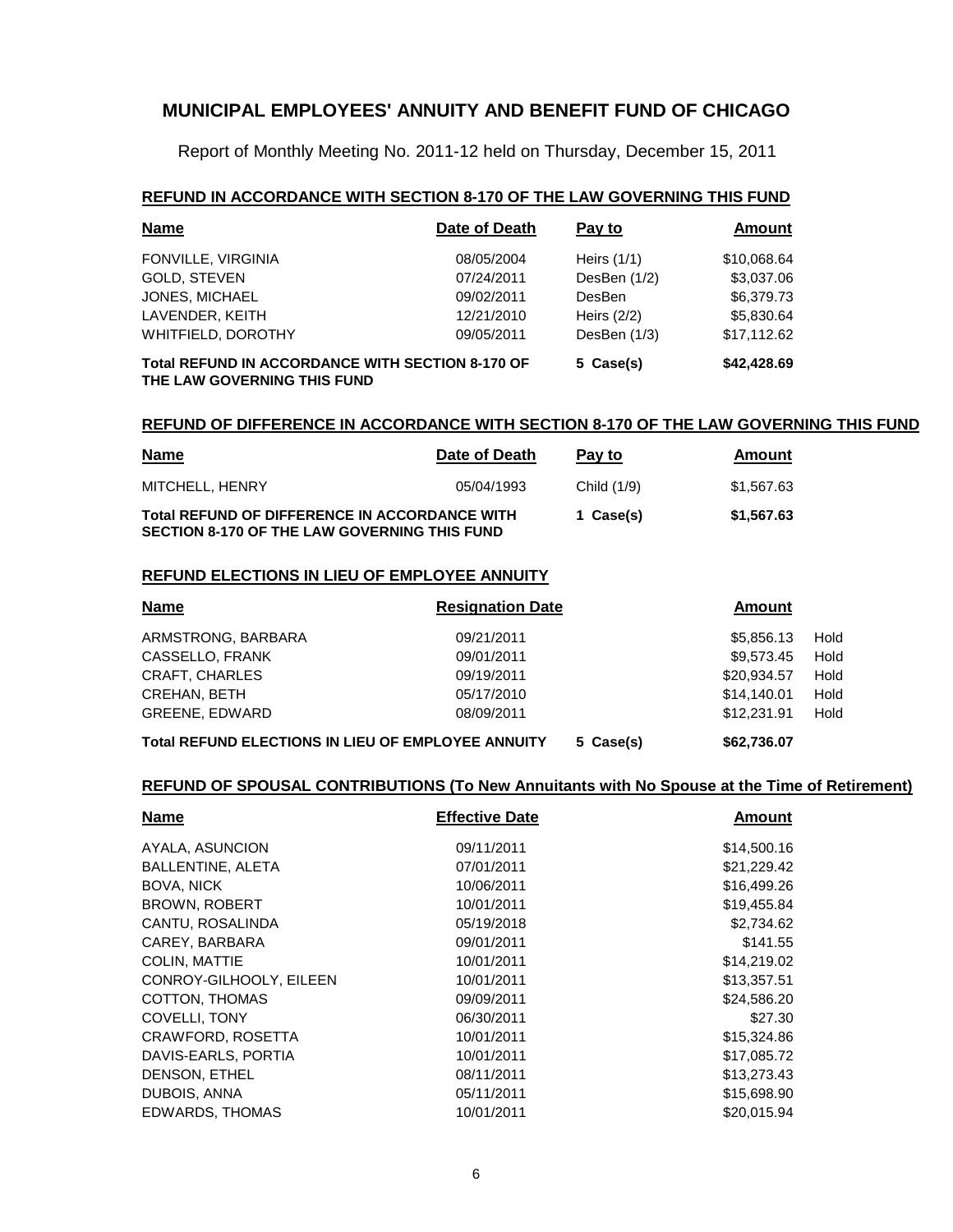Report of Monthly Meeting No. 2011-12 held on Thursday, December 15, 2011

#### **REFUND IN ACCORDANCE WITH SECTION 8-170 OF THE LAW GOVERNING THIS FUND**

| <b>Name</b>                                                                            | Date of Death | Pay to         | Amount      |
|----------------------------------------------------------------------------------------|---------------|----------------|-------------|
| FONVILLE, VIRGINIA                                                                     | 08/05/2004    | Heirs $(1/1)$  | \$10,068.64 |
| GOLD, STEVEN                                                                           | 07/24/2011    | DesBen $(1/2)$ | \$3,037.06  |
| JONES, MICHAEL                                                                         | 09/02/2011    | <b>DesBen</b>  | \$6,379.73  |
| LAVENDER, KEITH                                                                        | 12/21/2010    | Heirs $(2/2)$  | \$5,830.64  |
| WHITFIELD, DOROTHY                                                                     | 09/05/2011    | DesBen (1/3)   | \$17,112.62 |
| <b>Total REFUND IN ACCORDANCE WITH SECTION 8-170 OF</b><br>THE LAW GOVERNING THIS FUND |               | 5 Case(s)      | \$42,428.69 |

#### **REFUND OF DIFFERENCE IN ACCORDANCE WITH SECTION 8-170 OF THE LAW GOVERNING THIS FUND**

| <u>Name</u>                                                                                                 | Date of Death | Pay to      | Amount     |
|-------------------------------------------------------------------------------------------------------------|---------------|-------------|------------|
| MITCHELL, HENRY                                                                                             | 05/04/1993    | Child (1/9) | \$1,567.63 |
| <b>Total REFUND OF DIFFERENCE IN ACCORDANCE WITH</b><br><b>SECTION 8-170 OF THE LAW GOVERNING THIS FUND</b> |               | 1 Case(s)   | \$1,567.63 |

#### **REFUND ELECTIONS IN LIEU OF EMPLOYEE ANNUITY**

| <b>Name</b>                                               | <b>Resignation Date</b> | Amount      |      |
|-----------------------------------------------------------|-------------------------|-------------|------|
| ARMSTRONG, BARBARA                                        | 09/21/2011              | \$5,856,13  | Hold |
| CASSELLO, FRANK                                           | 09/01/2011              | \$9.573.45  | Hold |
| <b>CRAFT, CHARLES</b>                                     | 09/19/2011              | \$20,934.57 | Hold |
| <b>CREHAN, BETH</b>                                       | 05/17/2010              | \$14.140.01 | Hold |
| <b>GREENE, EDWARD</b>                                     | 08/09/2011              | \$12,231.91 | Hold |
| <b>Total REFUND ELECTIONS IN LIEU OF EMPLOYEE ANNUITY</b> | 5 Case(s)               | \$62,736.07 |      |

## **REFUND OF SPOUSAL CONTRIBUTIONS (To New Annuitants with No Spouse at the Time of Retirement)**

| <b>Name</b>              | <b>Effective Date</b> | <b>Amount</b> |
|--------------------------|-----------------------|---------------|
| AYALA, ASUNCION          | 09/11/2011            | \$14,500.16   |
| <b>BALLENTINE, ALETA</b> | 07/01/2011            | \$21,229.42   |
| <b>BOVA, NICK</b>        | 10/06/2011            | \$16,499.26   |
| <b>BROWN, ROBERT</b>     | 10/01/2011            | \$19,455.84   |
| CANTU, ROSALINDA         | 05/19/2018            | \$2,734.62    |
| CAREY, BARBARA           | 09/01/2011            | \$141.55      |
| COLIN, MATTIE            | 10/01/2011            | \$14,219.02   |
| CONROY-GILHOOLY, EILEEN  | 10/01/2011            | \$13,357.51   |
| COTTON, THOMAS           | 09/09/2011            | \$24,586.20   |
| <b>COVELLI, TONY</b>     | 06/30/2011            | \$27.30       |
| CRAWFORD, ROSETTA        | 10/01/2011            | \$15,324.86   |
| DAVIS-EARLS, PORTIA      | 10/01/2011            | \$17,085.72   |
| DENSON, ETHEL            | 08/11/2011            | \$13,273.43   |
| DUBOIS, ANNA             | 05/11/2011            | \$15,698.90   |
| EDWARDS, THOMAS          | 10/01/2011            | \$20,015.94   |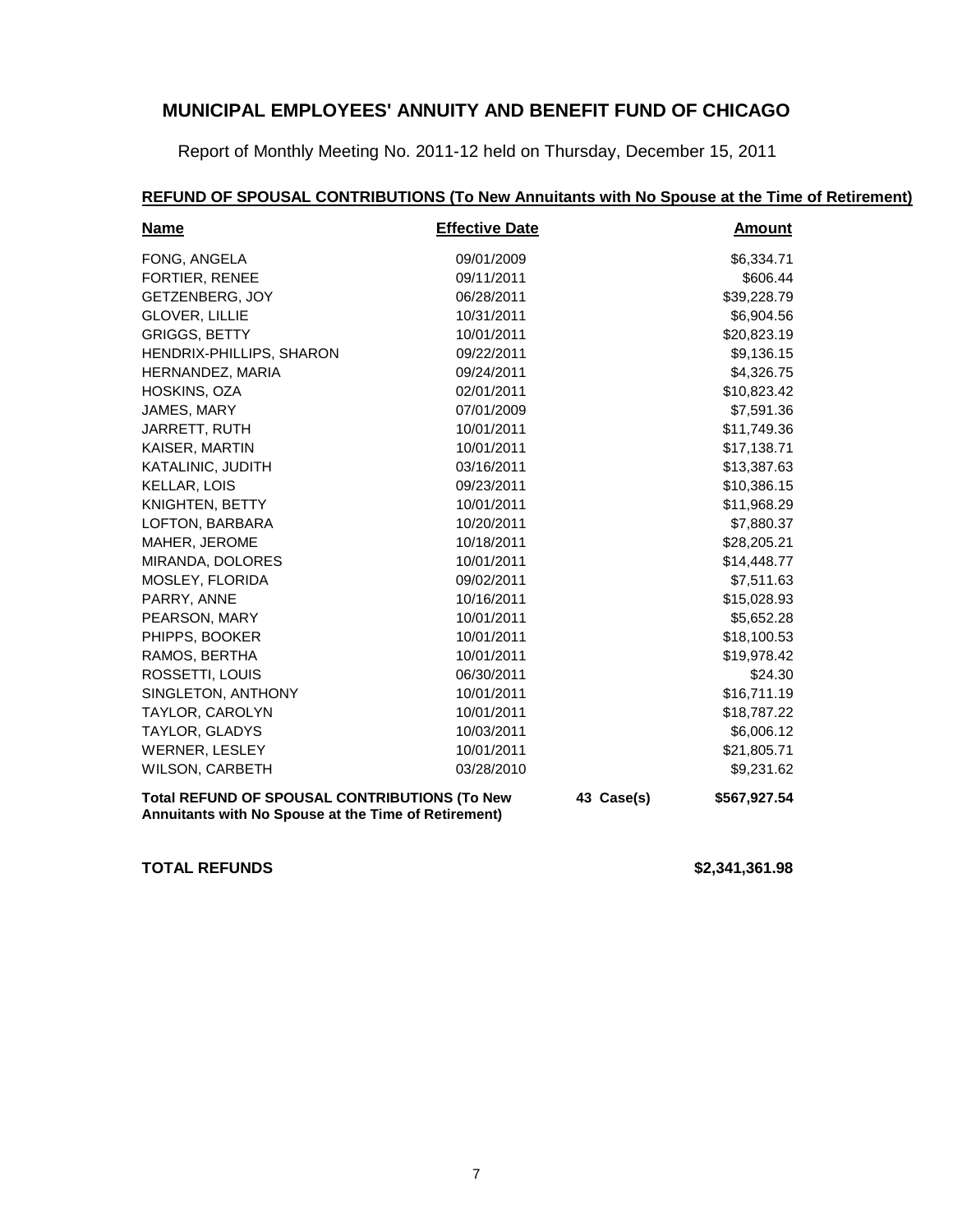Report of Monthly Meeting No. 2011-12 held on Thursday, December 15, 2011

## **REFUND OF SPOUSAL CONTRIBUTIONS (To New Annuitants with No Spouse at the Time of Retirement)**

| <b>Name</b>                                                                                                  | <b>Effective Date</b> |              | <b>Amount</b> |
|--------------------------------------------------------------------------------------------------------------|-----------------------|--------------|---------------|
| FONG, ANGELA                                                                                                 | 09/01/2009            |              | \$6,334.71    |
| <b>FORTIER, RENEE</b>                                                                                        | 09/11/2011            |              | \$606.44      |
| GETZENBERG, JOY                                                                                              | 06/28/2011            |              | \$39,228.79   |
| <b>GLOVER, LILLIE</b>                                                                                        | 10/31/2011            |              | \$6,904.56    |
| <b>GRIGGS, BETTY</b>                                                                                         | 10/01/2011            |              | \$20,823.19   |
| HENDRIX-PHILLIPS, SHARON                                                                                     | 09/22/2011            |              | \$9,136.15    |
| HERNANDEZ, MARIA                                                                                             | 09/24/2011            |              | \$4,326.75    |
| HOSKINS, OZA                                                                                                 | 02/01/2011            |              | \$10,823.42   |
| JAMES, MARY                                                                                                  | 07/01/2009            |              | \$7,591.36    |
| JARRETT, RUTH                                                                                                | 10/01/2011            |              | \$11,749.36   |
| KAISER, MARTIN                                                                                               | 10/01/2011            |              | \$17,138.71   |
| KATALINIC, JUDITH                                                                                            | 03/16/2011            |              | \$13,387.63   |
| <b>KELLAR, LOIS</b>                                                                                          | 09/23/2011            |              | \$10,386.15   |
| KNIGHTEN, BETTY                                                                                              | 10/01/2011            |              | \$11,968.29   |
| LOFTON, BARBARA                                                                                              | 10/20/2011            |              | \$7,880.37    |
| MAHER, JEROME                                                                                                | 10/18/2011            |              | \$28,205.21   |
| MIRANDA, DOLORES                                                                                             | 10/01/2011            |              | \$14,448.77   |
| MOSLEY, FLORIDA                                                                                              | 09/02/2011            |              | \$7,511.63    |
| PARRY, ANNE                                                                                                  | 10/16/2011            |              | \$15,028.93   |
| PEARSON, MARY                                                                                                | 10/01/2011            |              | \$5,652.28    |
| PHIPPS, BOOKER                                                                                               | 10/01/2011            |              | \$18,100.53   |
| RAMOS, BERTHA                                                                                                | 10/01/2011            |              | \$19,978.42   |
| ROSSETTI, LOUIS                                                                                              | 06/30/2011            |              | \$24.30       |
| SINGLETON, ANTHONY                                                                                           | 10/01/2011            |              | \$16,711.19   |
| TAYLOR, CAROLYN                                                                                              | 10/01/2011            |              | \$18,787.22   |
| TAYLOR, GLADYS                                                                                               | 10/03/2011            |              | \$6,006.12    |
| WERNER, LESLEY                                                                                               | 10/01/2011            |              | \$21,805.71   |
| <b>WILSON, CARBETH</b>                                                                                       | 03/28/2010            |              | \$9,231.62    |
| <b>Total REFUND OF SPOUSAL CONTRIBUTIONS (To New</b><br>Annuitants with No Spouse at the Time of Retirement) | 43 Case(s)            | \$567,927.54 |               |

**TOTAL REFUNDS \$2,341,361.98**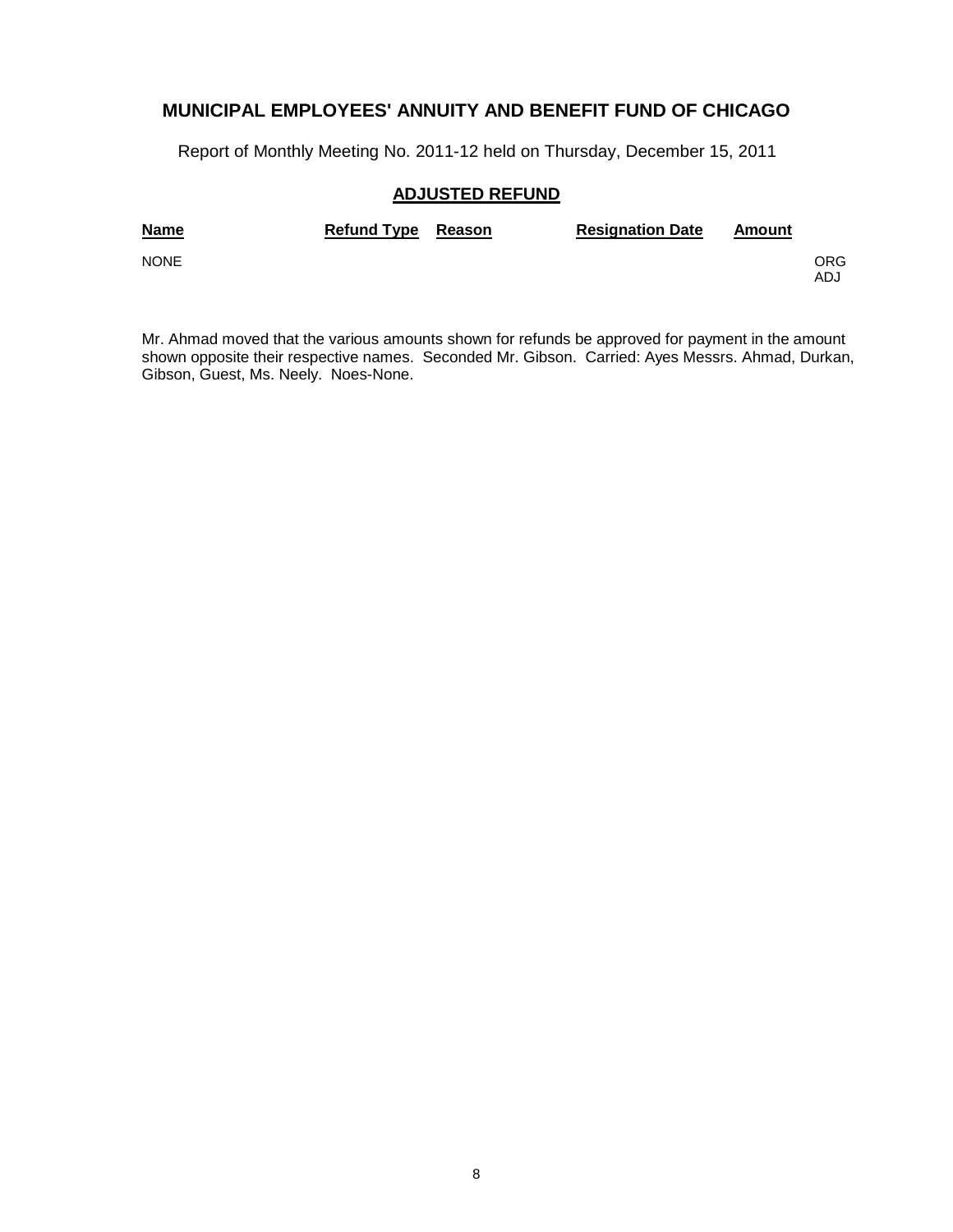Report of Monthly Meeting No. 2011-12 held on Thursday, December 15, 2011

## **ADJUSTED REFUND**

| <b>Name</b> | Refund Type Reason | <b>Resignation Date</b> | Amount |            |
|-------------|--------------------|-------------------------|--------|------------|
| <b>NONE</b> |                    |                         |        | ORG<br>ADJ |

Mr. Ahmad moved that the various amounts shown for refunds be approved for payment in the amount shown opposite their respective names. Seconded Mr. Gibson. Carried: Ayes Messrs. Ahmad, Durkan, Gibson, Guest, Ms. Neely. Noes-None.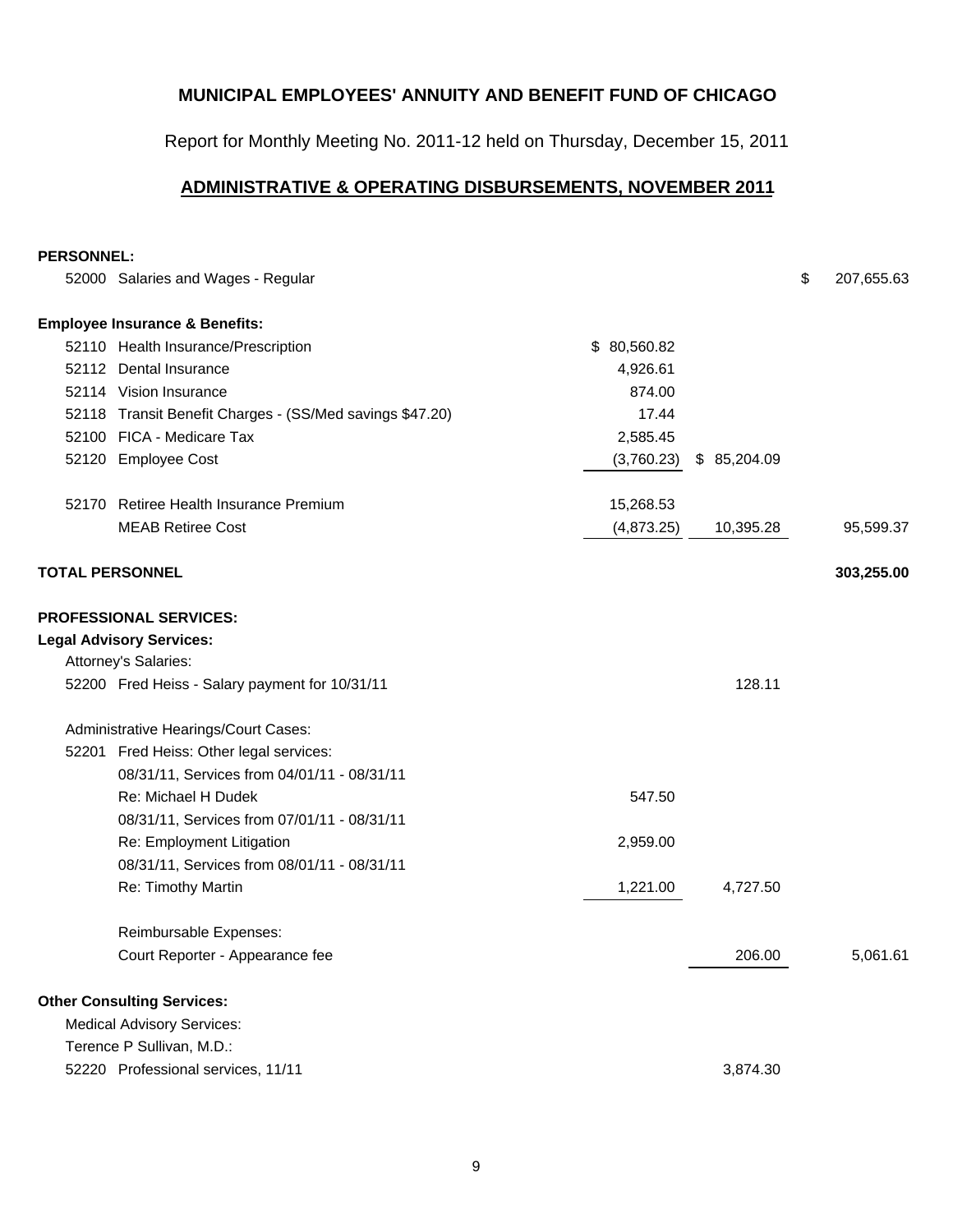Report for Monthly Meeting No. 2011-12 held on Thursday, December 15, 2011

## **ADMINISTRATIVE & OPERATING DISBURSEMENTS, NOVEMBER 2011**

#### **PERSONNEL:**

| 52000 Salaries and Wages - Regular                       |             |             | \$<br>207,655.63 |
|----------------------------------------------------------|-------------|-------------|------------------|
| <b>Employee Insurance &amp; Benefits:</b>                |             |             |                  |
| 52110 Health Insurance/Prescription                      | \$80,560.82 |             |                  |
| 52112 Dental Insurance                                   | 4,926.61    |             |                  |
| 52114 Vision Insurance                                   | 874.00      |             |                  |
| 52118 Transit Benefit Charges - (SS/Med savings \$47.20) | 17.44       |             |                  |
| 52100 FICA - Medicare Tax                                | 2,585.45    |             |                  |
| 52120 Employee Cost                                      | (3,760.23)  | \$85,204.09 |                  |
| 52170 Retiree Health Insurance Premium                   | 15,268.53   |             |                  |
| <b>MEAB Retiree Cost</b>                                 | (4,873.25)  | 10,395.28   | 95,599.37        |
| <b>TOTAL PERSONNEL</b>                                   |             |             | 303,255.00       |
| <b>PROFESSIONAL SERVICES:</b>                            |             |             |                  |
| <b>Legal Advisory Services:</b>                          |             |             |                  |
| Attorney's Salaries:                                     |             |             |                  |
| 52200 Fred Heiss - Salary payment for 10/31/11           |             | 128.11      |                  |
| Administrative Hearings/Court Cases:                     |             |             |                  |
| 52201 Fred Heiss: Other legal services:                  |             |             |                  |
| 08/31/11, Services from 04/01/11 - 08/31/11              |             |             |                  |
| Re: Michael H Dudek                                      | 547.50      |             |                  |
| 08/31/11, Services from 07/01/11 - 08/31/11              |             |             |                  |
| Re: Employment Litigation                                | 2,959.00    |             |                  |
| 08/31/11, Services from 08/01/11 - 08/31/11              |             |             |                  |
| Re: Timothy Martin                                       | 1,221.00    | 4,727.50    |                  |
| Reimbursable Expenses:                                   |             |             |                  |
| Court Reporter - Appearance fee                          |             | 206.00      | 5,061.61         |
| <b>Other Consulting Services:</b>                        |             |             |                  |
| <b>Medical Advisory Services:</b>                        |             |             |                  |
| Terence P Sullivan, M.D.:                                |             |             |                  |
| 52220 Professional services, 11/11                       |             | 3,874.30    |                  |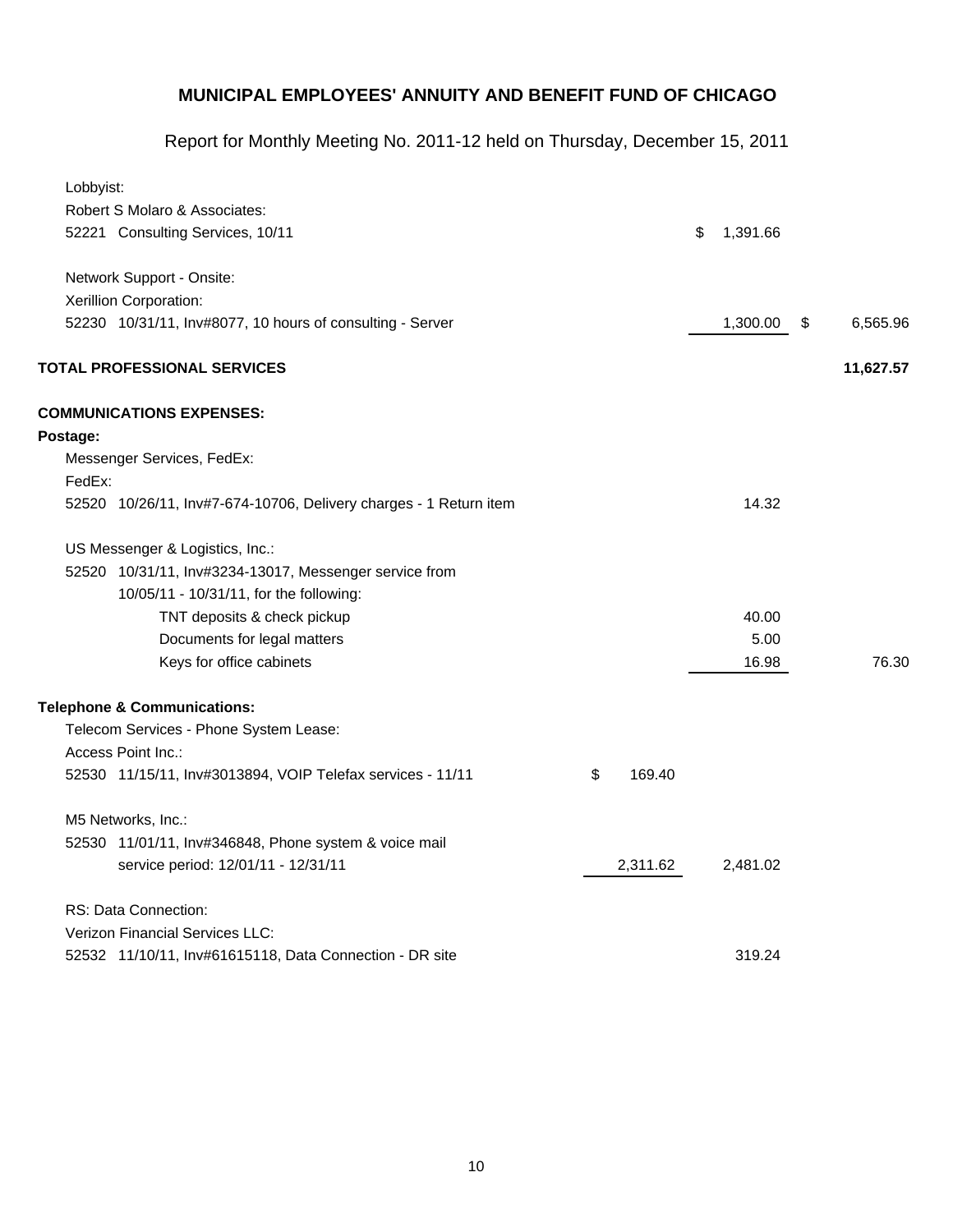Report for Monthly Meeting No. 2011-12 held on Thursday, December 15, 2011

| Lobbyist: |                                                                   |              |                |                |
|-----------|-------------------------------------------------------------------|--------------|----------------|----------------|
|           | Robert S Molaro & Associates:                                     |              |                |                |
|           | 52221 Consulting Services, 10/11                                  |              | \$<br>1,391.66 |                |
|           | Network Support - Onsite:                                         |              |                |                |
|           | Xerillion Corporation:                                            |              |                |                |
|           | 52230 10/31/11, Inv#8077, 10 hours of consulting - Server         |              | 1,300.00       | \$<br>6,565.96 |
|           | <b>TOTAL PROFESSIONAL SERVICES</b>                                |              |                | 11,627.57      |
|           | <b>COMMUNICATIONS EXPENSES:</b>                                   |              |                |                |
| Postage:  |                                                                   |              |                |                |
|           | Messenger Services, FedEx:                                        |              |                |                |
| FedEx:    |                                                                   |              |                |                |
|           | 52520 10/26/11, Inv#7-674-10706, Delivery charges - 1 Return item |              | 14.32          |                |
|           | US Messenger & Logistics, Inc.:                                   |              |                |                |
|           | 52520 10/31/11, Inv#3234-13017, Messenger service from            |              |                |                |
|           | 10/05/11 - 10/31/11, for the following:                           |              |                |                |
|           | TNT deposits & check pickup                                       |              | 40.00          |                |
|           | Documents for legal matters                                       |              | 5.00           |                |
|           | Keys for office cabinets                                          |              | 16.98          | 76.30          |
|           | <b>Telephone &amp; Communications:</b>                            |              |                |                |
|           | Telecom Services - Phone System Lease:                            |              |                |                |
|           | Access Point Inc.:                                                |              |                |                |
|           | 52530 11/15/11, Inv#3013894, VOIP Telefax services - 11/11        | \$<br>169.40 |                |                |
|           | M5 Networks, Inc.:                                                |              |                |                |
|           | 52530 11/01/11, Inv#346848, Phone system & voice mail             |              |                |                |
|           | service period: 12/01/11 - 12/31/11                               | 2,311.62     | 2,481.02       |                |
|           | RS: Data Connection:                                              |              |                |                |
|           | <b>Verizon Financial Services LLC:</b>                            |              |                |                |
|           | 52532 11/10/11, Inv#61615118, Data Connection - DR site           |              | 319.24         |                |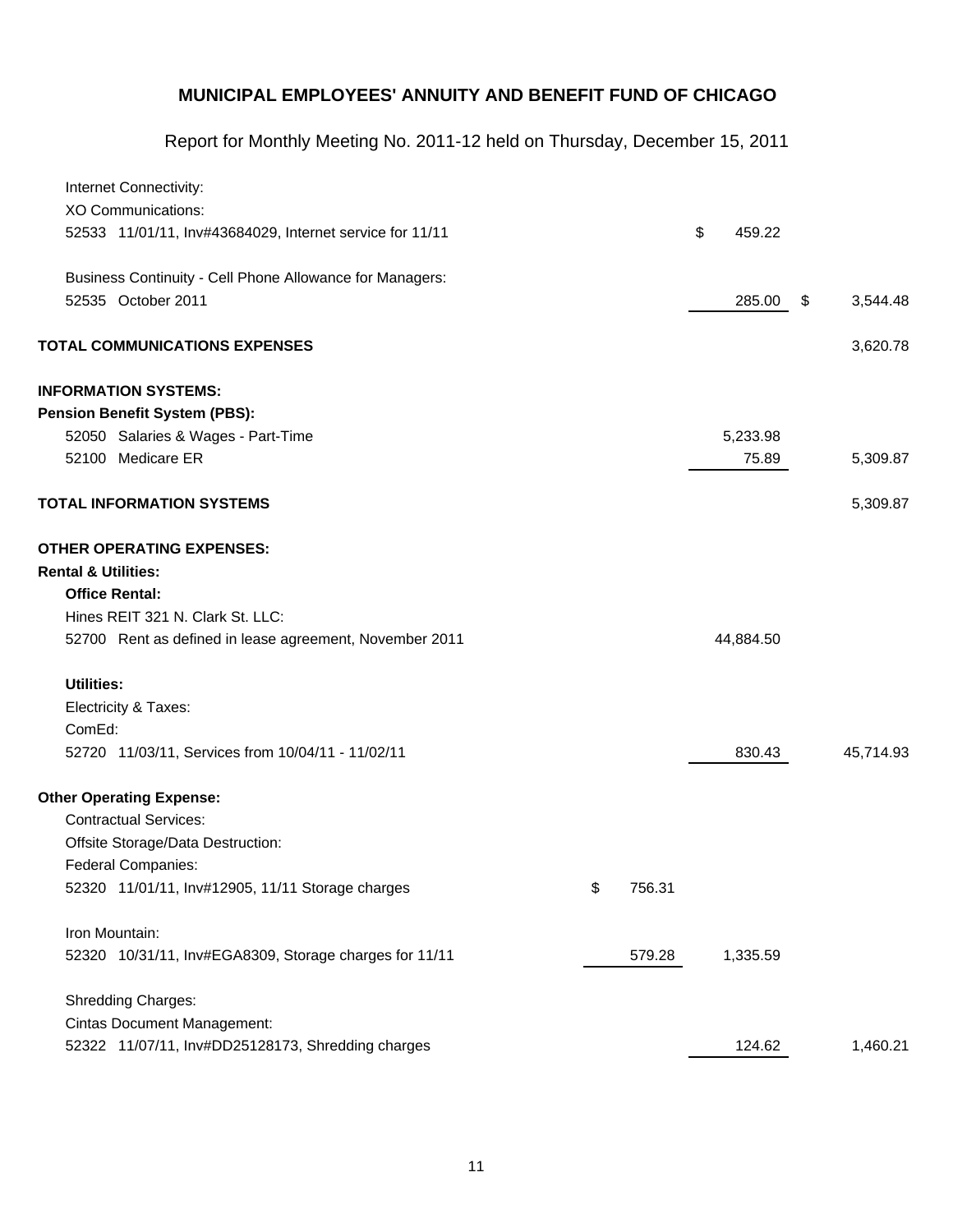Report for Monthly Meeting No. 2011-12 held on Thursday, December 15, 2011

|                                | Internet Connectivity:                                   |              |              |                |
|--------------------------------|----------------------------------------------------------|--------------|--------------|----------------|
|                                | <b>XO Communications:</b>                                |              |              |                |
|                                | 52533 11/01/11, Inv#43684029, Internet service for 11/11 |              | \$<br>459.22 |                |
|                                | Business Continuity - Cell Phone Allowance for Managers: |              |              |                |
|                                | 52535 October 2011                                       |              | 285.00       | \$<br>3,544.48 |
|                                | <b>TOTAL COMMUNICATIONS EXPENSES</b>                     |              |              | 3,620.78       |
|                                | <b>INFORMATION SYSTEMS:</b>                              |              |              |                |
|                                | <b>Pension Benefit System (PBS):</b>                     |              |              |                |
|                                | 52050 Salaries & Wages - Part-Time                       |              | 5,233.98     |                |
|                                | 52100 Medicare ER                                        |              | 75.89        | 5,309.87       |
|                                | <b>TOTAL INFORMATION SYSTEMS</b>                         |              |              | 5,309.87       |
| <b>Rental &amp; Utilities:</b> | <b>OTHER OPERATING EXPENSES:</b>                         |              |              |                |
|                                | <b>Office Rental:</b>                                    |              |              |                |
|                                | Hines REIT 321 N. Clark St. LLC:                         |              |              |                |
|                                | 52700 Rent as defined in lease agreement, November 2011  |              | 44,884.50    |                |
| <b>Utilities:</b>              |                                                          |              |              |                |
|                                | Electricity & Taxes:                                     |              |              |                |
| ComEd:                         |                                                          |              |              |                |
|                                | 52720 11/03/11, Services from 10/04/11 - 11/02/11        |              | 830.43       | 45,714.93      |
|                                | <b>Other Operating Expense:</b>                          |              |              |                |
|                                | <b>Contractual Services:</b>                             |              |              |                |
|                                | Offsite Storage/Data Destruction:                        |              |              |                |
|                                | Federal Companies:                                       |              |              |                |
|                                | 52320 11/01/11, Inv#12905, 11/11 Storage charges         | \$<br>756.31 |              |                |
|                                | Iron Mountain:                                           |              |              |                |
|                                | 52320 10/31/11, Inv#EGA8309, Storage charges for 11/11   | 579.28       | 1,335.59     |                |
|                                | <b>Shredding Charges:</b>                                |              |              |                |
|                                | <b>Cintas Document Management:</b>                       |              |              |                |
|                                | 52322 11/07/11, Inv#DD25128173, Shredding charges        |              | 124.62       | 1,460.21       |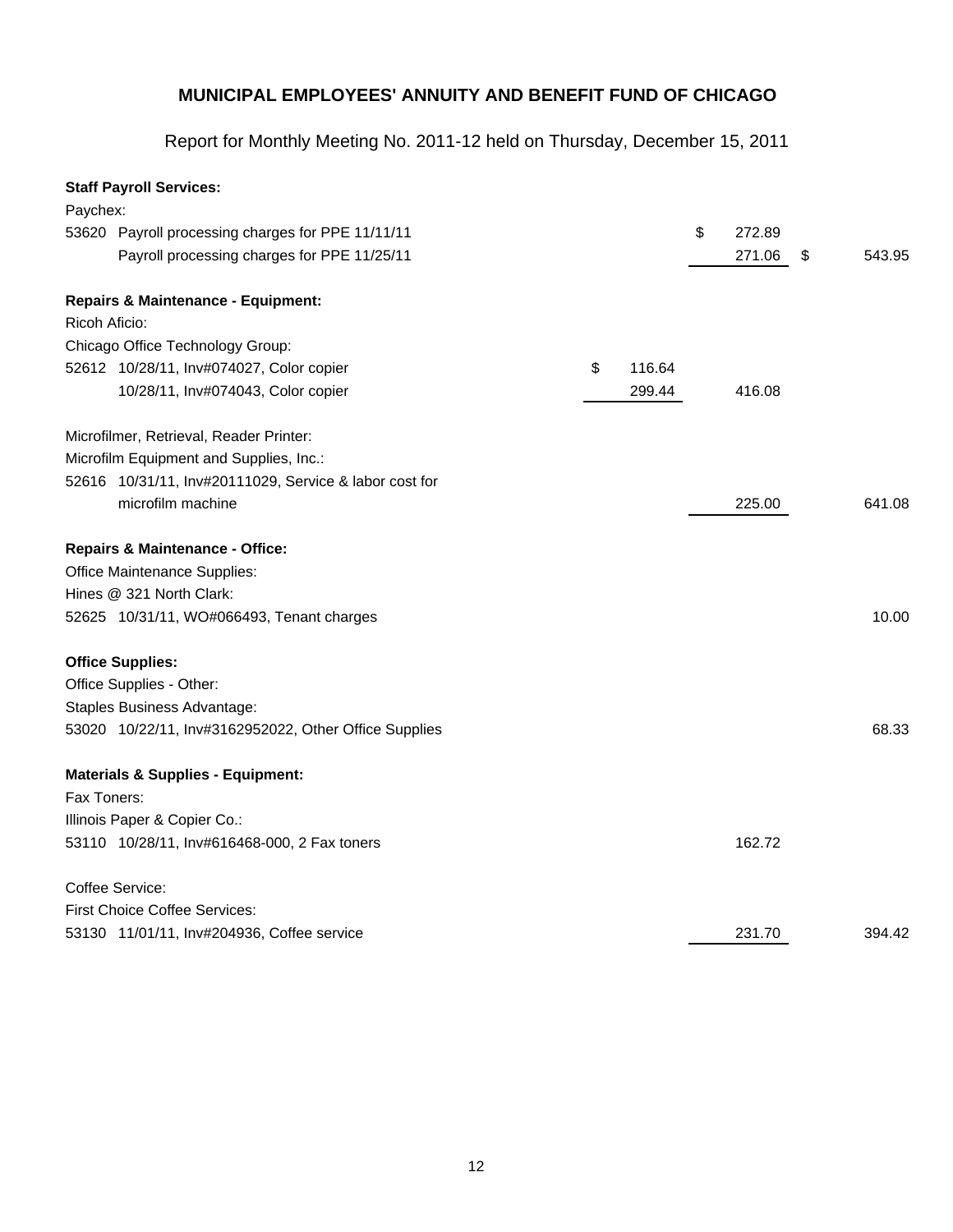Report for Monthly Meeting No. 2011-12 held on Thursday, December 15, 2011

## **Staff Payroll Services:**

| Paychex:      |                                                        |              |              |              |
|---------------|--------------------------------------------------------|--------------|--------------|--------------|
|               | 53620 Payroll processing charges for PPE 11/11/11      |              | \$<br>272.89 |              |
|               | Payroll processing charges for PPE 11/25/11            |              | 271.06       | \$<br>543.95 |
|               | <b>Repairs &amp; Maintenance - Equipment:</b>          |              |              |              |
| Ricoh Aficio: |                                                        |              |              |              |
|               | Chicago Office Technology Group:                       |              |              |              |
|               | 52612 10/28/11, Inv#074027, Color copier               | \$<br>116.64 |              |              |
|               | 10/28/11, Inv#074043, Color copier                     | 299.44       | 416.08       |              |
|               | Microfilmer, Retrieval, Reader Printer:                |              |              |              |
|               | Microfilm Equipment and Supplies, Inc.:                |              |              |              |
|               | 52616 10/31/11, Inv#20111029, Service & labor cost for |              |              |              |
|               | microfilm machine                                      |              | 225.00       | 641.08       |
|               | <b>Repairs &amp; Maintenance - Office:</b>             |              |              |              |
|               | Office Maintenance Supplies:                           |              |              |              |
|               | Hines @ 321 North Clark:                               |              |              |              |
|               | 52625 10/31/11, WO#066493, Tenant charges              |              |              | 10.00        |
|               | <b>Office Supplies:</b>                                |              |              |              |
|               | Office Supplies - Other:                               |              |              |              |
|               | Staples Business Advantage:                            |              |              |              |
|               | 53020 10/22/11, Inv#3162952022, Other Office Supplies  |              |              | 68.33        |
|               | <b>Materials &amp; Supplies - Equipment:</b>           |              |              |              |
| Fax Toners:   |                                                        |              |              |              |
|               | Illinois Paper & Copier Co.:                           |              |              |              |
|               | 53110 10/28/11, Inv#616468-000, 2 Fax toners           |              | 162.72       |              |
|               | Coffee Service:                                        |              |              |              |
|               | First Choice Coffee Services:                          |              |              |              |
|               | 53130 11/01/11, Inv#204936, Coffee service             |              | 231.70       | 394.42       |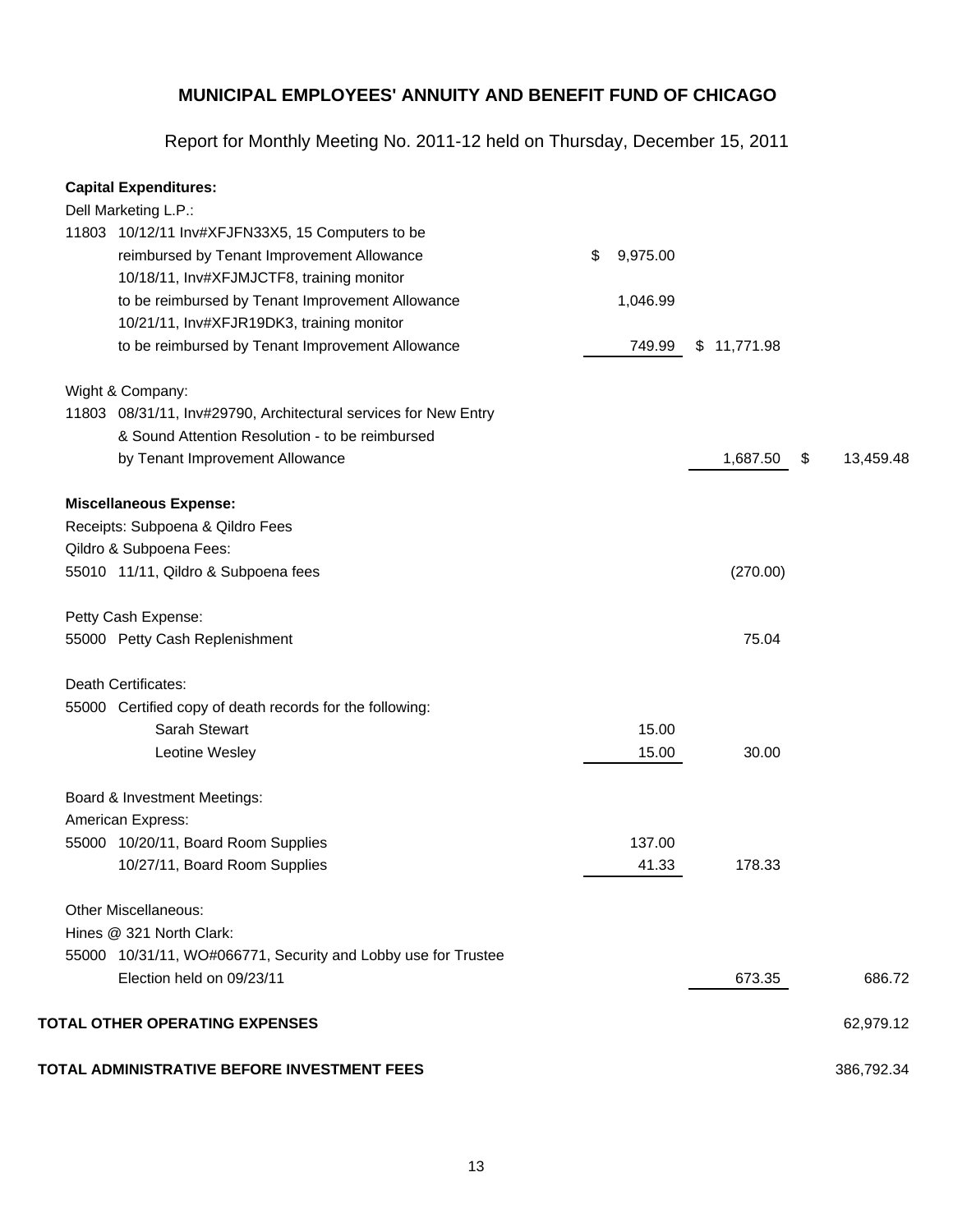Report for Monthly Meeting No. 2011-12 held on Thursday, December 15, 2011

#### **Capital Expenditures:**

| Dell Marketing L.P.:                                            |                |                |            |
|-----------------------------------------------------------------|----------------|----------------|------------|
| 11803 10/12/11 Inv#XFJFN33X5, 15 Computers to be                |                |                |            |
| reimbursed by Tenant Improvement Allowance                      | \$<br>9,975.00 |                |            |
| 10/18/11, Inv#XFJMJCTF8, training monitor                       |                |                |            |
| to be reimbursed by Tenant Improvement Allowance                | 1,046.99       |                |            |
| 10/21/11, Inv#XFJR19DK3, training monitor                       |                |                |            |
| to be reimbursed by Tenant Improvement Allowance                | 749.99         | \$11,771.98    |            |
| Wight & Company:                                                |                |                |            |
| 11803 08/31/11, Inv#29790, Architectural services for New Entry |                |                |            |
| & Sound Attention Resolution - to be reimbursed                 |                |                |            |
| by Tenant Improvement Allowance                                 |                | 1,687.50<br>\$ | 13,459.48  |
| <b>Miscellaneous Expense:</b>                                   |                |                |            |
| Receipts: Subpoena & Qildro Fees                                |                |                |            |
| Qildro & Subpoena Fees:                                         |                |                |            |
| 55010 11/11, Qildro & Subpoena fees                             |                | (270.00)       |            |
| Petty Cash Expense:                                             |                |                |            |
| 55000 Petty Cash Replenishment                                  |                | 75.04          |            |
| Death Certificates:                                             |                |                |            |
| 55000 Certified copy of death records for the following:        |                |                |            |
| Sarah Stewart                                                   | 15.00          |                |            |
| Leotine Wesley                                                  | 15.00          | 30.00          |            |
| Board & Investment Meetings:                                    |                |                |            |
| American Express:                                               |                |                |            |
| 55000 10/20/11, Board Room Supplies                             | 137.00         |                |            |
| 10/27/11, Board Room Supplies                                   | 41.33          | 178.33         |            |
| <b>Other Miscellaneous:</b>                                     |                |                |            |
| Hines @ 321 North Clark:                                        |                |                |            |
| 55000 10/31/11, WO#066771, Security and Lobby use for Trustee   |                |                |            |
| Election held on 09/23/11                                       |                | 673.35         | 686.72     |
| TOTAL OTHER OPERATING EXPENSES                                  |                |                | 62,979.12  |
| TOTAL ADMINISTRATIVE BEFORE INVESTMENT FEES                     |                |                | 386,792.34 |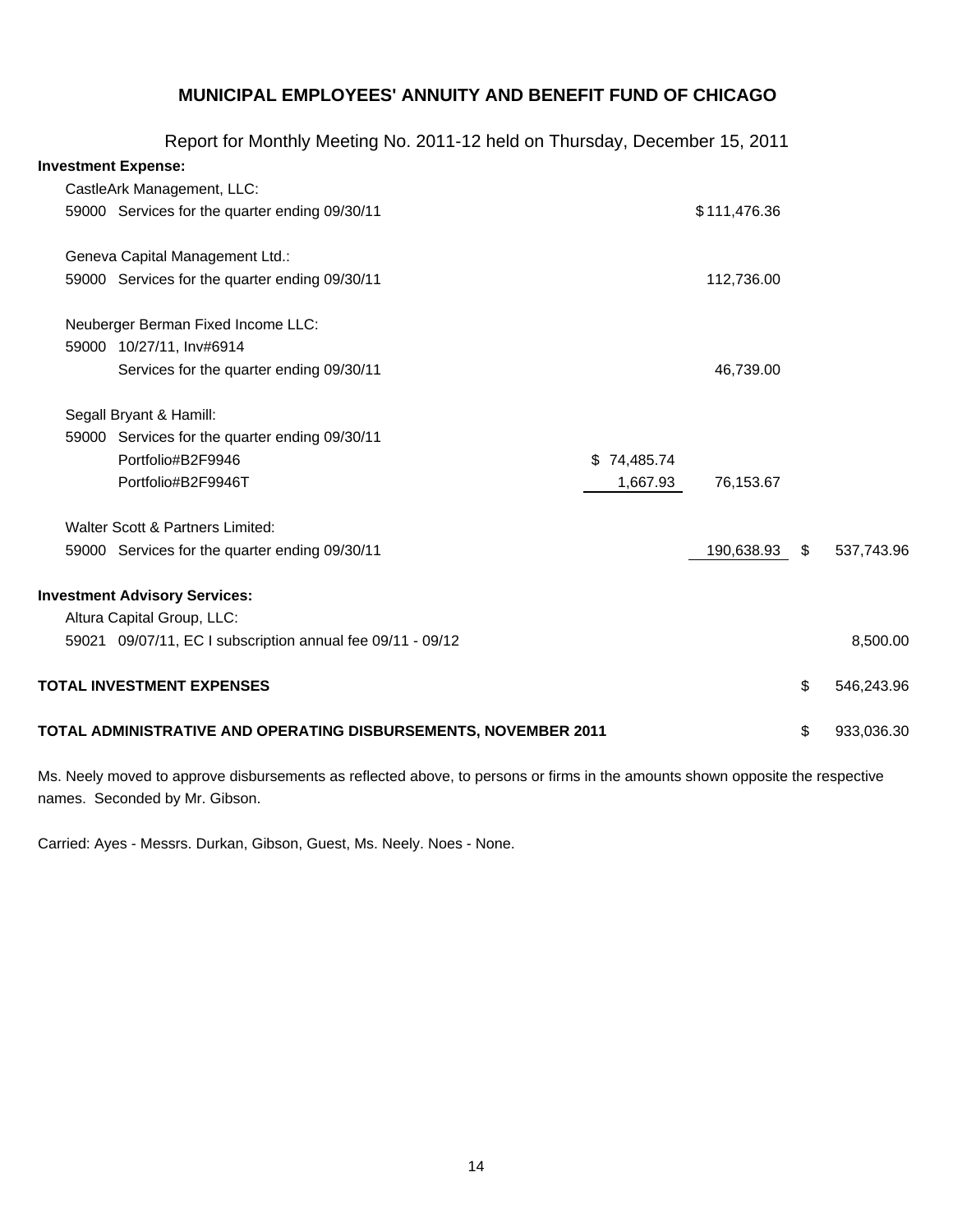|                            | Report for Monthly Meeting No. 2011-12 held on Thursday, December 15, 2011 |             |              |                  |
|----------------------------|----------------------------------------------------------------------------|-------------|--------------|------------------|
| <b>Investment Expense:</b> |                                                                            |             |              |                  |
|                            | CastleArk Management, LLC:                                                 |             |              |                  |
|                            | 59000 Services for the quarter ending 09/30/11                             |             | \$111,476.36 |                  |
|                            | Geneva Capital Management Ltd.:                                            |             |              |                  |
|                            | 59000 Services for the quarter ending 09/30/11                             |             | 112,736.00   |                  |
|                            | Neuberger Berman Fixed Income LLC:                                         |             |              |                  |
|                            | 59000 10/27/11, Inv#6914                                                   |             |              |                  |
|                            | Services for the quarter ending 09/30/11                                   |             | 46,739.00    |                  |
|                            | Segall Bryant & Hamill:                                                    |             |              |                  |
|                            | 59000 Services for the quarter ending 09/30/11                             |             |              |                  |
|                            | Portfolio#B2F9946                                                          | \$74,485.74 |              |                  |
|                            | Portfolio#B2F9946T                                                         | 1,667.93    | 76,153.67    |                  |
|                            | Walter Scott & Partners Limited:                                           |             |              |                  |
|                            | 59000 Services for the quarter ending 09/30/11                             |             | 190,638.93   | \$<br>537,743.96 |
|                            | <b>Investment Advisory Services:</b>                                       |             |              |                  |
|                            | Altura Capital Group, LLC:                                                 |             |              |                  |
|                            | 59021 09/07/11, EC I subscription annual fee 09/11 - 09/12                 |             |              | 8,500.00         |
|                            | <b>TOTAL INVESTMENT EXPENSES</b>                                           |             |              | \$<br>546,243.96 |
|                            | TOTAL ADMINISTRATIVE AND OPERATING DISBURSEMENTS, NOVEMBER 2011            |             |              | \$<br>933,036.30 |

Ms. Neely moved to approve disbursements as reflected above, to persons or firms in the amounts shown opposite the respective names. Seconded by Mr. Gibson.

Carried: Ayes - Messrs. Durkan, Gibson, Guest, Ms. Neely. Noes - None.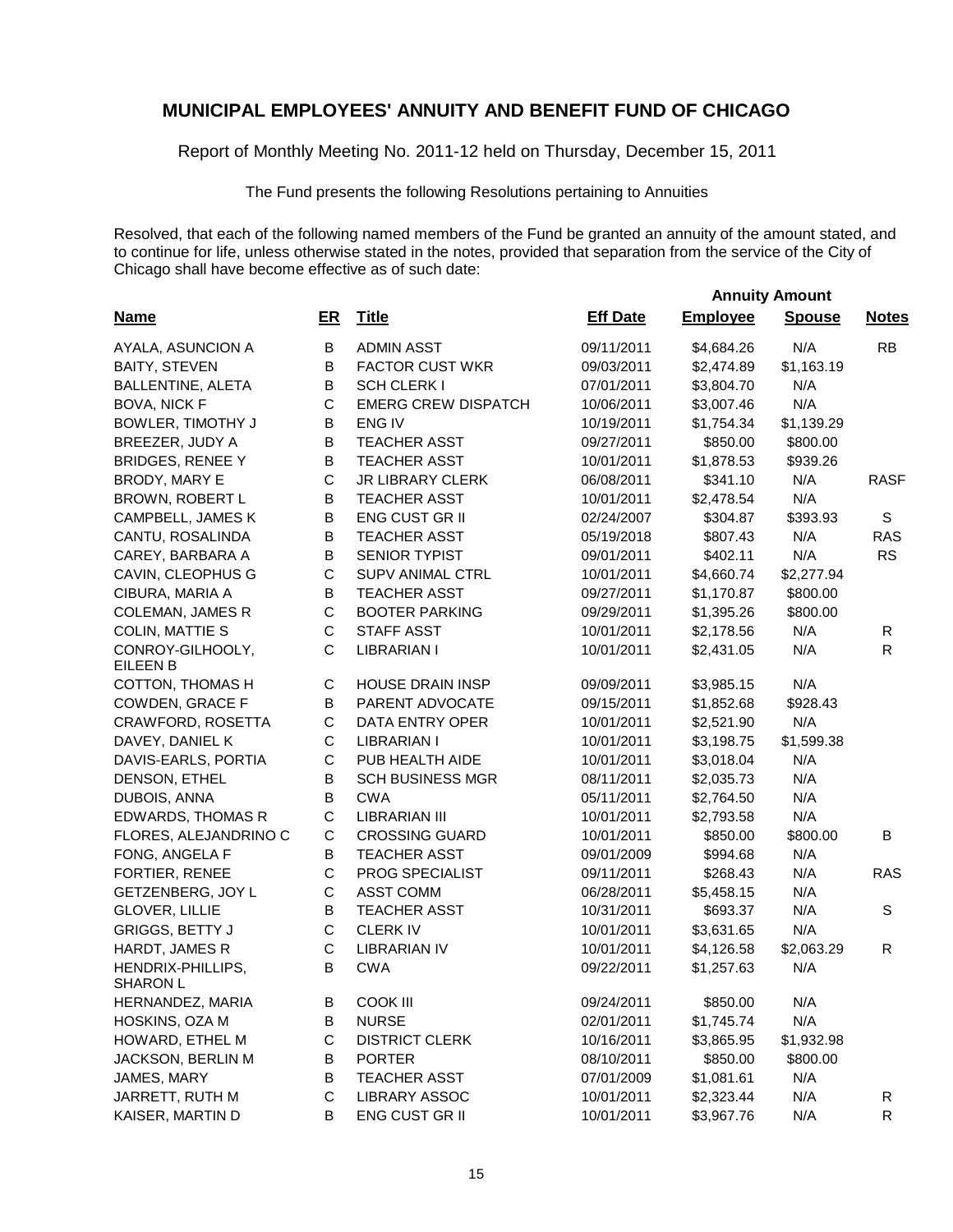Report of Monthly Meeting No. 2011-12 held on Thursday, December 15, 2011

The Fund presents the following Resolutions pertaining to Annuities

Resolved, that each of the following named members of the Fund be granted an annuity of the amount stated, and to continue for life, unless otherwise stated in the notes, provided that separation from the service of the City of Chicago shall have become effective as of such date:

 **Annuity Amount**

| <b>Name</b>                          | $E$ R       | <b>Title</b>               | <b>Eff Date</b> | <b>Employee</b> | <b>Spouse</b> | <b>Notes</b> |
|--------------------------------------|-------------|----------------------------|-----------------|-----------------|---------------|--------------|
| AYALA, ASUNCION A                    | B           | <b>ADMIN ASST</b>          | 09/11/2011      | \$4,684.26      | N/A           | RB           |
| <b>BAITY, STEVEN</b>                 | B           | <b>FACTOR CUST WKR</b>     | 09/03/2011      | \$2,474.89      | \$1,163.19    |              |
| <b>BALLENTINE, ALETA</b>             | B           | <b>SCH CLERK I</b>         | 07/01/2011      | \$3,804.70      | N/A           |              |
| <b>BOVA, NICK F</b>                  | $\mathsf C$ | <b>EMERG CREW DISPATCH</b> | 10/06/2011      | \$3,007.46      | N/A           |              |
| BOWLER, TIMOTHY J                    | B           | ENG IV                     | 10/19/2011      | \$1,754.34      | \$1,139.29    |              |
| BREEZER, JUDY A                      | B           | <b>TEACHER ASST</b>        | 09/27/2011      | \$850.00        | \$800.00      |              |
| <b>BRIDGES, RENEE Y</b>              | В           | <b>TEACHER ASST</b>        | 10/01/2011      | \$1,878.53      | \$939.26      |              |
| BRODY, MARY E                        | C           | JR LIBRARY CLERK           | 06/08/2011      | \$341.10        | N/A           | <b>RASF</b>  |
| BROWN, ROBERT L                      | B           | <b>TEACHER ASST</b>        | 10/01/2011      | \$2,478.54      | N/A           |              |
| CAMPBELL, JAMES K                    | B           | <b>ENG CUST GR II</b>      | 02/24/2007      | \$304.87        | \$393.93      | S            |
| CANTU, ROSALINDA                     | B           | <b>TEACHER ASST</b>        | 05/19/2018      | \$807.43        | N/A           | <b>RAS</b>   |
| CAREY, BARBARA A                     | B           | <b>SENIOR TYPIST</b>       | 09/01/2011      | \$402.11        | N/A           | <b>RS</b>    |
| CAVIN, CLEOPHUS G                    | $\mathsf C$ | <b>SUPV ANIMAL CTRL</b>    | 10/01/2011      | \$4,660.74      | \$2,277.94    |              |
| CIBURA, MARIA A                      | B           | <b>TEACHER ASST</b>        | 09/27/2011      | \$1,170.87      | \$800.00      |              |
| <b>COLEMAN, JAMES R</b>              | C           | <b>BOOTER PARKING</b>      | 09/29/2011      | \$1,395.26      | \$800.00      |              |
| <b>COLIN, MATTIE S</b>               | С           | <b>STAFF ASST</b>          | 10/01/2011      | \$2,178.56      | N/A           | R            |
| CONROY-GILHOOLY,<br><b>EILEEN B</b>  | C           | <b>LIBRARIAN I</b>         | 10/01/2011      | \$2,431.05      | N/A           | R            |
| COTTON, THOMAS H                     | C           | <b>HOUSE DRAIN INSP</b>    | 09/09/2011      | \$3,985.15      | N/A           |              |
| COWDEN, GRACE F                      | B           | PARENT ADVOCATE            | 09/15/2011      | \$1,852.68      | \$928.43      |              |
| CRAWFORD, ROSETTA                    | C           | DATA ENTRY OPER            | 10/01/2011      | \$2,521.90      | N/A           |              |
| DAVEY, DANIEL K                      | C           | <b>LIBRARIAN I</b>         | 10/01/2011      | \$3,198.75      | \$1,599.38    |              |
| DAVIS-EARLS, PORTIA                  | С           | PUB HEALTH AIDE            | 10/01/2011      | \$3,018.04      | N/A           |              |
| DENSON, ETHEL                        | B           | <b>SCH BUSINESS MGR</b>    | 08/11/2011      | \$2,035.73      | N/A           |              |
| DUBOIS, ANNA                         | B           | <b>CWA</b>                 | 05/11/2011      | \$2,764.50      | N/A           |              |
| EDWARDS, THOMAS R                    | $\mathsf C$ | <b>LIBRARIAN III</b>       | 10/01/2011      | \$2,793.58      | N/A           |              |
| FLORES, ALEJANDRINO C                | $\mathsf C$ | <b>CROSSING GUARD</b>      | 10/01/2011      | \$850.00        | \$800.00      | В            |
| FONG, ANGELA F                       | B           | <b>TEACHER ASST</b>        | 09/01/2009      | \$994.68        | N/A           |              |
| FORTIER, RENEE                       | $\mathsf C$ | PROG SPECIALIST            | 09/11/2011      | \$268.43        | N/A           | <b>RAS</b>   |
| GETZENBERG, JOY L                    | С           | <b>ASST COMM</b>           | 06/28/2011      | \$5,458.15      | N/A           |              |
| GLOVER, LILLIE                       | B           | <b>TEACHER ASST</b>        | 10/31/2011      | \$693.37        | N/A           | $\mathbb S$  |
| <b>GRIGGS, BETTY J</b>               | $\mathsf C$ | <b>CLERKIV</b>             | 10/01/2011      | \$3,631.65      | N/A           |              |
| HARDT, JAMES R                       | C           | <b>LIBRARIAN IV</b>        | 10/01/2011      | \$4,126.58      | \$2,063.29    | R            |
| HENDRIX-PHILLIPS,<br><b>SHARON L</b> | B           | <b>CWA</b>                 | 09/22/2011      | \$1,257.63      | N/A           |              |
| HERNANDEZ, MARIA                     | В           | <b>COOK III</b>            | 09/24/2011      | \$850.00        | N/A           |              |
| HOSKINS, OZA M                       | В           | <b>NURSE</b>               | 02/01/2011      | \$1,745.74      | N/A           |              |
| HOWARD, ETHEL M                      | С           | <b>DISTRICT CLERK</b>      | 10/16/2011      | \$3,865.95      | \$1,932.98    |              |
| JACKSON, BERLIN M                    | В           | <b>PORTER</b>              | 08/10/2011      | \$850.00        | \$800.00      |              |
| JAMES, MARY                          | B           | <b>TEACHER ASST</b>        | 07/01/2009      | \$1,081.61      | N/A           |              |
| JARRETT, RUTH M                      | С           | <b>LIBRARY ASSOC</b>       | 10/01/2011      | \$2,323.44      | N/A           | R            |
| KAISER, MARTIN D                     | В           | ENG CUST GR II             | 10/01/2011      | \$3,967.76      | N/A           | R            |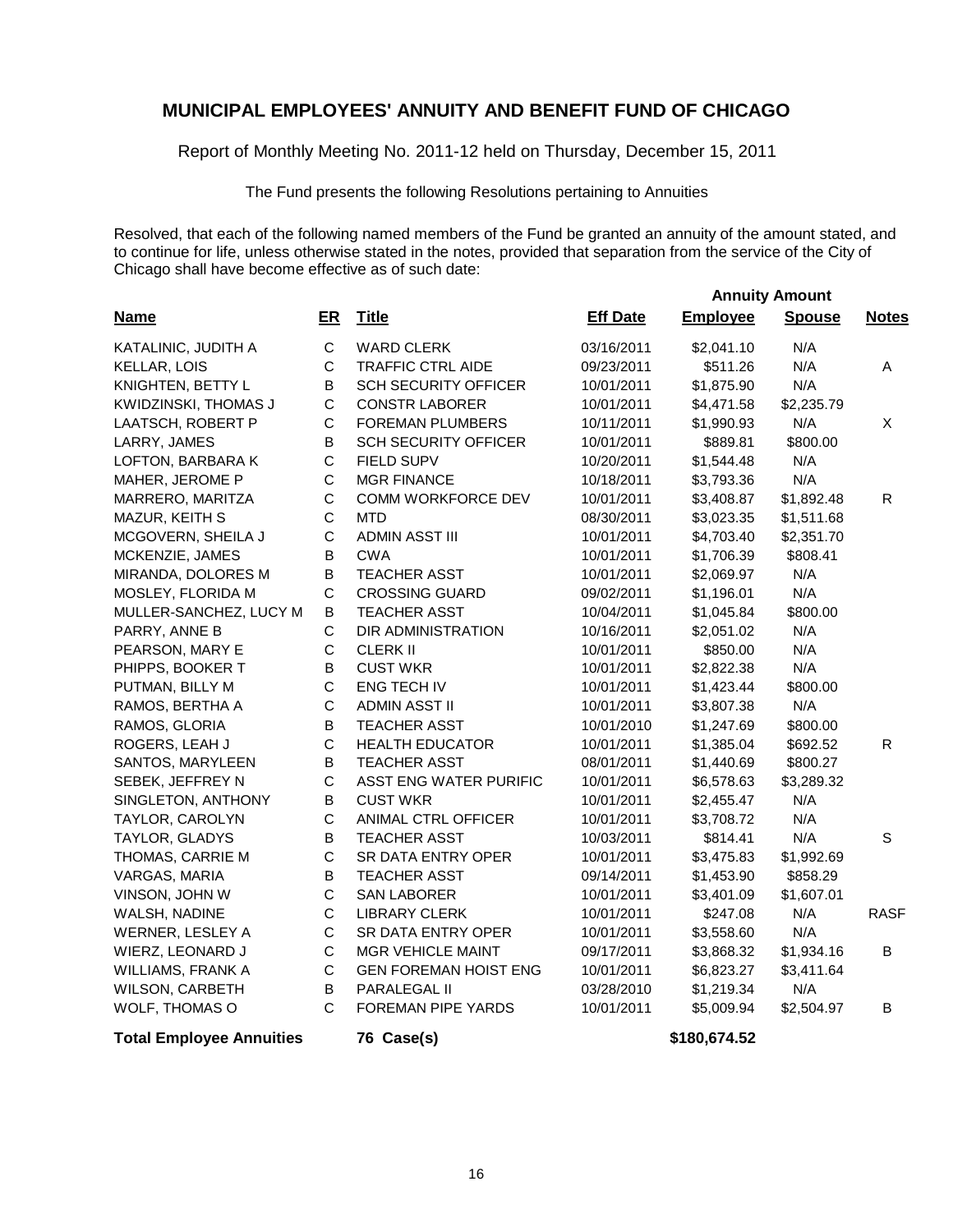Report of Monthly Meeting No. 2011-12 held on Thursday, December 15, 2011

The Fund presents the following Resolutions pertaining to Annuities

Resolved, that each of the following named members of the Fund be granted an annuity of the amount stated, and to continue for life, unless otherwise stated in the notes, provided that separation from the service of the City of Chicago shall have become effective as of such date:

 **Annuity Amount**

| <b>Name</b>                     | $E$ R        | <b>Title</b>                 | <b>Eff Date</b> | <b>Employee</b> | <b>Spouse</b> | <b>Notes</b> |
|---------------------------------|--------------|------------------------------|-----------------|-----------------|---------------|--------------|
| KATALINIC, JUDITH A             | $\mathsf{C}$ | <b>WARD CLERK</b>            | 03/16/2011      | \$2,041.10      | N/A           |              |
| KELLAR, LOIS                    | $\mathsf C$  | TRAFFIC CTRL AIDE            | 09/23/2011      | \$511.26        | N/A           | Α            |
| KNIGHTEN, BETTY L               | $\mathsf B$  | <b>SCH SECURITY OFFICER</b>  | 10/01/2011      | \$1,875.90      | N/A           |              |
| KWIDZINSKI, THOMAS J            | $\mathsf C$  | <b>CONSTR LABORER</b>        | 10/01/2011      | \$4,471.58      | \$2,235.79    |              |
| LAATSCH, ROBERT P               | $\mathsf C$  | <b>FOREMAN PLUMBERS</b>      | 10/11/2011      | \$1,990.93      | N/A           | X            |
| LARRY, JAMES                    | $\sf B$      | <b>SCH SECURITY OFFICER</b>  | 10/01/2011      | \$889.81        | \$800.00      |              |
| LOFTON, BARBARA K               | $\mathsf C$  | <b>FIELD SUPV</b>            | 10/20/2011      | \$1,544.48      | N/A           |              |
| MAHER, JEROME P                 | $\mathsf C$  | <b>MGR FINANCE</b>           | 10/18/2011      | \$3,793.36      | N/A           |              |
| MARRERO, MARITZA                | $\mathsf{C}$ | COMM WORKFORCE DEV           | 10/01/2011      | \$3,408.87      | \$1,892.48    | $\mathsf{R}$ |
| MAZUR, KEITH S                  | $\mathsf{C}$ | <b>MTD</b>                   | 08/30/2011      | \$3,023.35      | \$1,511.68    |              |
| MCGOVERN, SHEILA J              | $\mathsf{C}$ | <b>ADMIN ASST III</b>        | 10/01/2011      | \$4,703.40      | \$2,351.70    |              |
| MCKENZIE, JAMES                 | $\mathsf B$  | <b>CWA</b>                   | 10/01/2011      | \$1,706.39      | \$808.41      |              |
| MIRANDA, DOLORES M              | $\sf B$      | <b>TEACHER ASST</b>          | 10/01/2011      | \$2,069.97      | N/A           |              |
| MOSLEY, FLORIDA M               | $\mathsf{C}$ | <b>CROSSING GUARD</b>        | 09/02/2011      | \$1,196.01      | N/A           |              |
| MULLER-SANCHEZ, LUCY M          | B            | <b>TEACHER ASST</b>          | 10/04/2011      | \$1,045.84      | \$800.00      |              |
| PARRY, ANNE B                   | $\mathsf C$  | DIR ADMINISTRATION           | 10/16/2011      | \$2,051.02      | N/A           |              |
| PEARSON, MARY E                 | $\mathsf C$  | <b>CLERK II</b>              | 10/01/2011      | \$850.00        | N/A           |              |
| PHIPPS, BOOKER T                | $\sf B$      | <b>CUST WKR</b>              | 10/01/2011      | \$2,822.38      | N/A           |              |
| PUTMAN, BILLY M                 | $\mathsf{C}$ | ENG TECH IV                  | 10/01/2011      | \$1,423.44      | \$800.00      |              |
| RAMOS, BERTHA A                 | $\mathsf{C}$ | <b>ADMIN ASST II</b>         | 10/01/2011      | \$3,807.38      | N/A           |              |
| RAMOS, GLORIA                   | B            | <b>TEACHER ASST</b>          | 10/01/2010      | \$1,247.69      | \$800.00      |              |
| ROGERS, LEAH J                  | $\mathsf{C}$ | <b>HEALTH EDUCATOR</b>       | 10/01/2011      | \$1,385.04      | \$692.52      | R            |
| SANTOS, MARYLEEN                | $\sf B$      | <b>TEACHER ASST</b>          | 08/01/2011      | \$1,440.69      | \$800.27      |              |
| SEBEK, JEFFREY N                | $\mathsf{C}$ | ASST ENG WATER PURIFIC       | 10/01/2011      | \$6,578.63      | \$3,289.32    |              |
| SINGLETON, ANTHONY              | B            | <b>CUST WKR</b>              | 10/01/2011      | \$2,455.47      | N/A           |              |
| TAYLOR, CAROLYN                 | $\mathsf{C}$ | ANIMAL CTRL OFFICER          | 10/01/2011      | \$3,708.72      | N/A           |              |
| TAYLOR, GLADYS                  | B            | <b>TEACHER ASST</b>          | 10/03/2011      | \$814.41        | N/A           | S            |
| THOMAS, CARRIE M                | $\mathsf{C}$ | SR DATA ENTRY OPER           | 10/01/2011      | \$3,475.83      | \$1,992.69    |              |
| VARGAS, MARIA                   | $\mathsf B$  | <b>TEACHER ASST</b>          | 09/14/2011      | \$1,453.90      | \$858.29      |              |
| VINSON, JOHN W                  | $\mathsf{C}$ | <b>SAN LABORER</b>           | 10/01/2011      | \$3,401.09      | \$1,607.01    |              |
| WALSH, NADINE                   | $\mathsf{C}$ | <b>LIBRARY CLERK</b>         | 10/01/2011      | \$247.08        | N/A           | <b>RASF</b>  |
| WERNER, LESLEY A                | $\mathsf{C}$ | SR DATA ENTRY OPER           | 10/01/2011      | \$3,558.60      | N/A           |              |
| WIERZ, LEONARD J                | $\mathsf{C}$ | <b>MGR VEHICLE MAINT</b>     | 09/17/2011      | \$3,868.32      | \$1,934.16    | В            |
| WILLIAMS, FRANK A               | $\mathsf C$  | <b>GEN FOREMAN HOIST ENG</b> | 10/01/2011      | \$6,823.27      | \$3,411.64    |              |
| WILSON, CARBETH                 | В            | PARALEGAL II                 | 03/28/2010      | \$1,219.34      | N/A           |              |
| WOLF, THOMAS O                  | $\mathsf{C}$ | FOREMAN PIPE YARDS           | 10/01/2011      | \$5,009.94      | \$2,504.97    | B            |
| <b>Total Employee Annuities</b> |              | 76 Case(s)                   |                 | \$180,674.52    |               |              |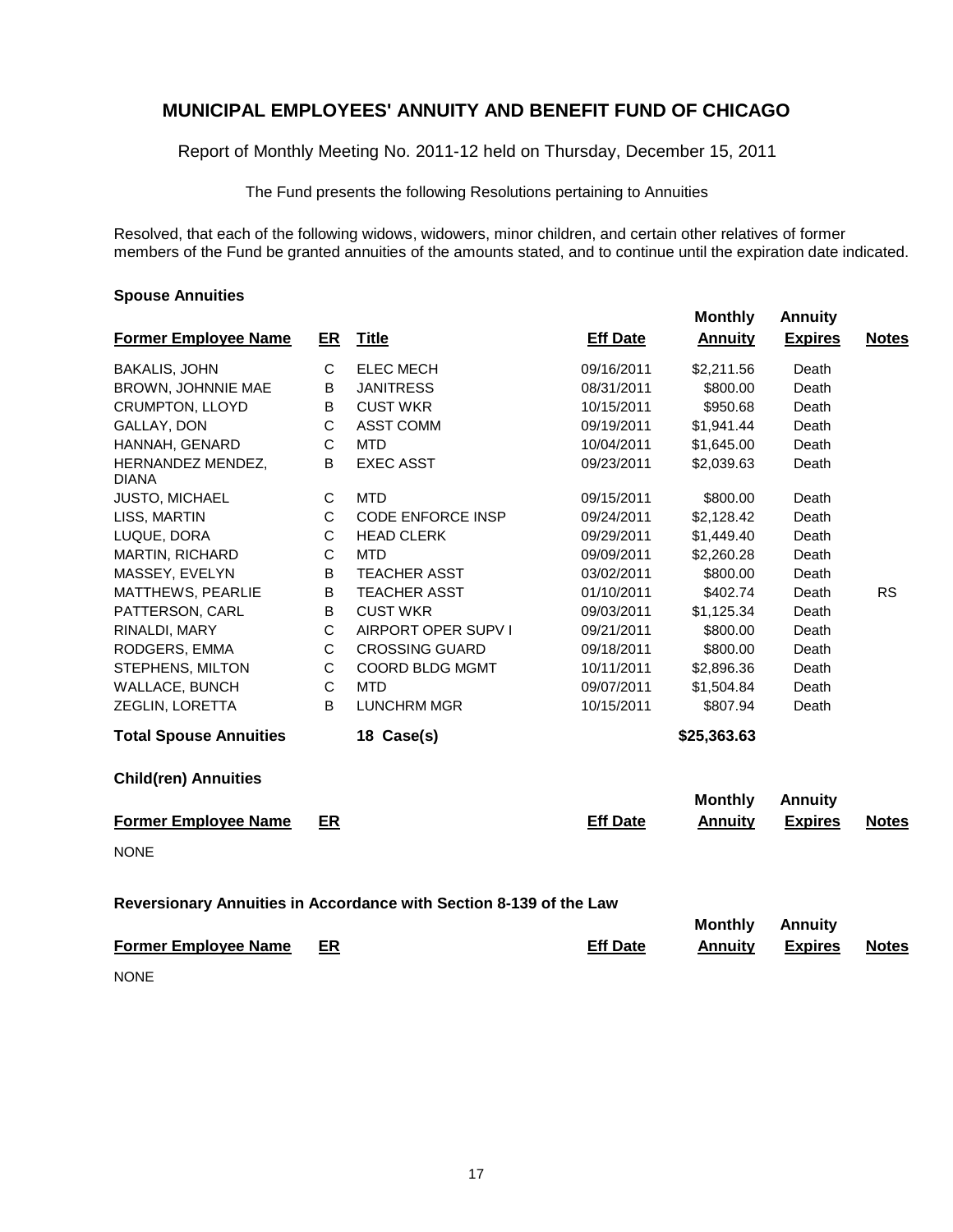Report of Monthly Meeting No. 2011-12 held on Thursday, December 15, 2011

The Fund presents the following Resolutions pertaining to Annuities

Resolved, that each of the following widows, widowers, minor children, and certain other relatives of former members of the Fund be granted annuities of the amounts stated, and to continue until the expiration date indicated.

 **Monthly Annuity**

#### **Spouse Annuities**

|                                   |              |                                                                    |                 | 1110111111 <b>1</b>              | <u>ALILLAILY</u>                 |              |
|-----------------------------------|--------------|--------------------------------------------------------------------|-----------------|----------------------------------|----------------------------------|--------------|
| <b>Former Employee Name</b>       | ER           | <b>Title</b>                                                       | <b>Eff Date</b> | <b>Annuity</b>                   | <b>Expires</b>                   | <b>Notes</b> |
| <b>BAKALIS, JOHN</b>              | $\mathsf C$  | <b>ELEC MECH</b>                                                   | 09/16/2011      | \$2,211.56                       | Death                            |              |
| BROWN, JOHNNIE MAE                | В            | <b>JANITRESS</b>                                                   | 08/31/2011      | \$800.00                         | Death                            |              |
| <b>CRUMPTON, LLOYD</b>            | B            | <b>CUST WKR</b>                                                    | 10/15/2011      | \$950.68                         | Death                            |              |
| GALLAY, DON                       | $\mathsf C$  | <b>ASST COMM</b>                                                   | 09/19/2011      | \$1,941.44                       | Death                            |              |
| HANNAH, GENARD                    | C            | <b>MTD</b>                                                         | 10/04/2011      | \$1,645.00                       | Death                            |              |
| HERNANDEZ MENDEZ,<br><b>DIANA</b> | B            | <b>EXEC ASST</b>                                                   | 09/23/2011      | \$2,039.63                       | Death                            |              |
| JUSTO, MICHAEL                    | C            | <b>MTD</b>                                                         | 09/15/2011      | \$800.00                         | Death                            |              |
| LISS, MARTIN                      | C            | <b>CODE ENFORCE INSP</b>                                           | 09/24/2011      | \$2,128.42                       | Death                            |              |
| LUQUE, DORA                       | C            | <b>HEAD CLERK</b>                                                  | 09/29/2011      | \$1,449.40                       | Death                            |              |
| <b>MARTIN, RICHARD</b>            | $\mathsf{C}$ | <b>MTD</b>                                                         | 09/09/2011      | \$2,260.28                       | Death                            |              |
| MASSEY, EVELYN                    | B            | <b>TEACHER ASST</b>                                                | 03/02/2011      | \$800.00                         | Death                            |              |
| MATTHEWS, PEARLIE                 | B            | <b>TEACHER ASST</b>                                                | 01/10/2011      | \$402.74                         | Death                            | <b>RS</b>    |
| PATTERSON, CARL                   | B            | <b>CUST WKR</b>                                                    | 09/03/2011      | \$1,125.34                       | Death                            |              |
| RINALDI, MARY                     | $\mathsf C$  | AIRPORT OPER SUPV I                                                | 09/21/2011      | \$800.00                         | Death                            |              |
| RODGERS, EMMA                     | $\mathsf{C}$ | <b>CROSSING GUARD</b>                                              | 09/18/2011      | \$800.00                         | Death                            |              |
| STEPHENS, MILTON                  | $\mathsf C$  | COORD BLDG MGMT                                                    | 10/11/2011      | \$2,896.36                       | Death                            |              |
| WALLACE, BUNCH                    | C            | <b>MTD</b>                                                         | 09/07/2011      | \$1,504.84                       | Death                            |              |
| ZEGLIN, LORETTA                   | B            | <b>LUNCHRM MGR</b>                                                 | 10/15/2011      | \$807.94                         | Death                            |              |
| <b>Total Spouse Annuities</b>     |              | 18 Case(s)                                                         |                 | \$25,363.63                      |                                  |              |
| <b>Child(ren) Annuities</b>       |              |                                                                    |                 |                                  |                                  |              |
|                                   |              |                                                                    |                 | <b>Monthly</b>                   | <b>Annuity</b>                   |              |
| <b>Former Employee Name</b>       | ER           |                                                                    | <b>Eff Date</b> | <b>Annuity</b>                   | <b>Expires</b>                   | <b>Notes</b> |
| <b>NONE</b>                       |              |                                                                    |                 |                                  |                                  |              |
|                                   |              | Reversionary Annuities in Accordance with Section 8-139 of the Law |                 |                                  |                                  |              |
| <b>Former Employee Name</b>       | ER           |                                                                    | <b>Eff Date</b> | <b>Monthly</b><br><b>Annuity</b> | <b>Annuity</b><br><b>Expires</b> | <b>Notes</b> |
| <b>NONE</b>                       |              |                                                                    |                 |                                  |                                  |              |
|                                   |              |                                                                    |                 |                                  |                                  |              |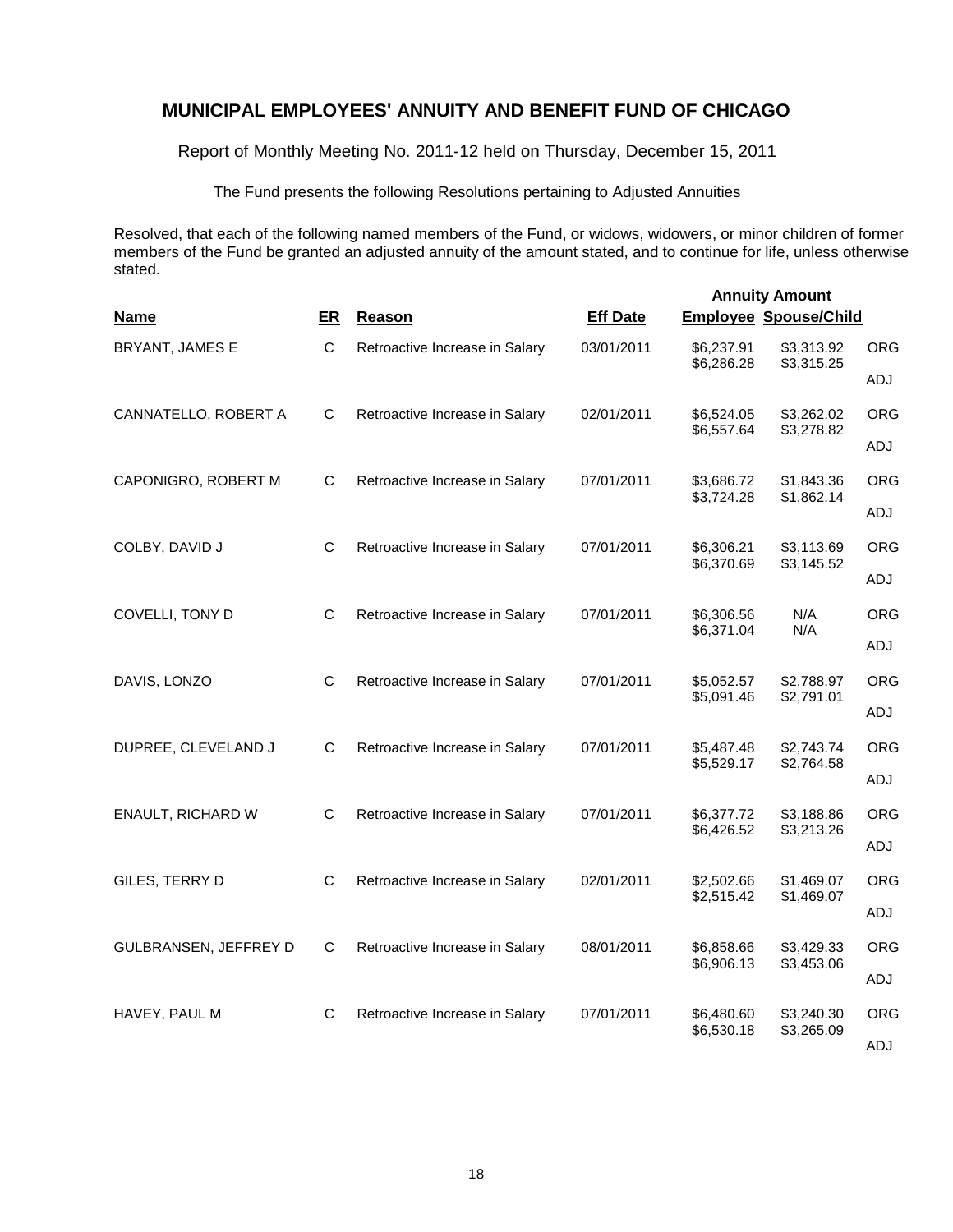Report of Monthly Meeting No. 2011-12 held on Thursday, December 15, 2011

The Fund presents the following Resolutions pertaining to Adjusted Annuities

Resolved, that each of the following named members of the Fund, or widows, widowers, or minor children of former members of the Fund be granted an adjusted annuity of the amount stated, and to continue for life, unless otherwise stated.

| <b>Name</b>           | ER          | Reason                         | <b>Eff Date</b> | <b>Employee Spouse/Child</b> | <b>Annuity Amount</b>    |                   |
|-----------------------|-------------|--------------------------------|-----------------|------------------------------|--------------------------|-------------------|
| BRYANT, JAMES E       | $\mathbf C$ | Retroactive Increase in Salary | 03/01/2011      | \$6,237.91<br>\$6,286.28     | \$3,313.92<br>\$3,315.25 | <b>ORG</b>        |
|                       |             |                                |                 |                              |                          | ADJ               |
| CANNATELLO, ROBERT A  | C           | Retroactive Increase in Salary | 02/01/2011      | \$6,524.05<br>\$6,557.64     | \$3,262.02<br>\$3,278.82 | <b>ORG</b>        |
|                       |             |                                |                 |                              |                          | ADJ               |
| CAPONIGRO, ROBERT M   | C           | Retroactive Increase in Salary | 07/01/2011      | \$3,686.72<br>\$3,724.28     | \$1,843.36<br>\$1,862.14 | <b>ORG</b>        |
|                       |             |                                |                 |                              |                          | ADJ               |
| COLBY, DAVID J        | C           | Retroactive Increase in Salary | 07/01/2011      | \$6,306.21<br>\$6,370.69     | \$3,113.69<br>\$3,145.52 | <b>ORG</b>        |
|                       |             |                                |                 |                              |                          | ADJ               |
| COVELLI, TONY D       | C           | Retroactive Increase in Salary | 07/01/2011      | \$6,306.56<br>\$6,371.04     | N/A<br>N/A               | <b>ORG</b><br>ADJ |
| DAVIS, LONZO          | C           | Retroactive Increase in Salary | 07/01/2011      | \$5,052.57                   | \$2,788.97               | <b>ORG</b>        |
|                       |             |                                |                 | \$5,091.46                   | \$2,791.01               | ADJ               |
| DUPREE, CLEVELAND J   | C           | Retroactive Increase in Salary | 07/01/2011      | \$5,487.48                   | \$2,743.74               | <b>ORG</b>        |
|                       |             |                                |                 | \$5,529.17                   | \$2,764.58               | ADJ               |
| ENAULT, RICHARD W     | C           | Retroactive Increase in Salary | 07/01/2011      | \$6,377.72                   | \$3,188.86               | ORG               |
|                       |             |                                |                 | \$6,426.52                   | \$3,213.26               | ADJ               |
| GILES, TERRY D        | C           | Retroactive Increase in Salary | 02/01/2011      | \$2,502.66<br>\$2,515.42     | \$1,469.07<br>\$1,469.07 | ORG               |
|                       |             |                                |                 |                              |                          | ADJ               |
| GULBRANSEN, JEFFREY D | C           | Retroactive Increase in Salary | 08/01/2011      | \$6,858.66<br>\$6,906.13     | \$3,429.33<br>\$3,453.06 | <b>ORG</b>        |
|                       |             |                                |                 |                              |                          | ADJ               |
| HAVEY, PAUL M         | C           | Retroactive Increase in Salary | 07/01/2011      | \$6,480.60<br>\$6,530.18     | \$3,240.30<br>\$3,265.09 | <b>ORG</b>        |
|                       |             |                                |                 |                              |                          | ADJ               |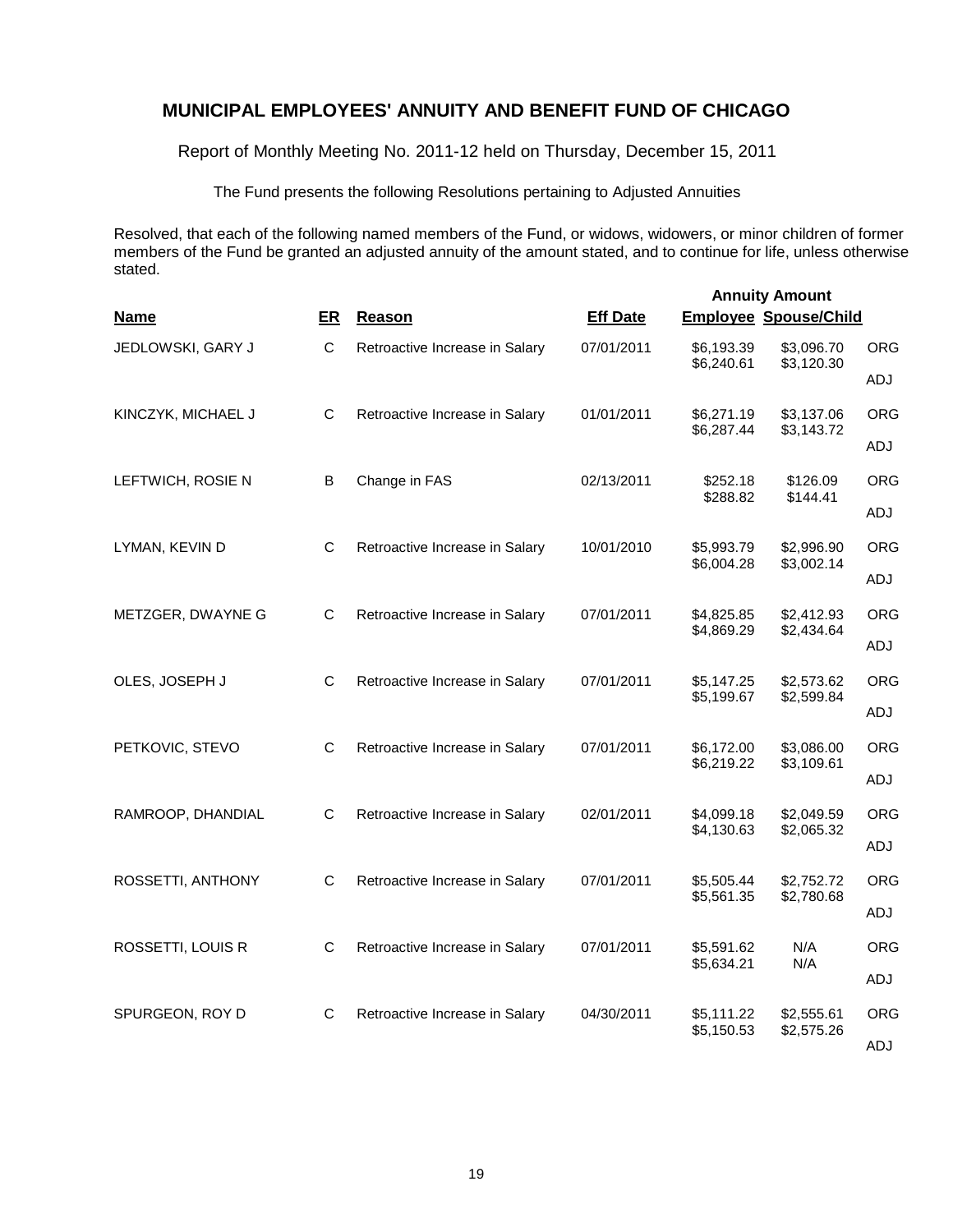Report of Monthly Meeting No. 2011-12 held on Thursday, December 15, 2011

The Fund presents the following Resolutions pertaining to Adjusted Annuities

Resolved, that each of the following named members of the Fund, or widows, widowers, or minor children of former members of the Fund be granted an adjusted annuity of the amount stated, and to continue for life, unless otherwise stated.

| <b>Name</b>        | ER           | Reason                         | <b>Eff Date</b> | <b>Employee Spouse/Child</b> | <b>Annuity Amount</b>    |            |
|--------------------|--------------|--------------------------------|-----------------|------------------------------|--------------------------|------------|
| JEDLOWSKI, GARY J  | $\mathsf{C}$ | Retroactive Increase in Salary | 07/01/2011      | \$6,193.39<br>\$6,240.61     | \$3,096.70<br>\$3,120.30 | <b>ORG</b> |
|                    |              |                                |                 |                              |                          | ADJ        |
| KINCZYK, MICHAEL J | C            | Retroactive Increase in Salary | 01/01/2011      | \$6,271.19<br>\$6,287.44     | \$3,137.06<br>\$3,143.72 | <b>ORG</b> |
|                    |              |                                |                 |                              |                          | ADJ        |
| LEFTWICH, ROSIE N  | B            | Change in FAS                  | 02/13/2011      | \$252.18<br>\$288.82         | \$126.09<br>\$144.41     | <b>ORG</b> |
|                    |              |                                |                 |                              |                          | ADJ        |
| LYMAN, KEVIN D     | C            | Retroactive Increase in Salary | 10/01/2010      | \$5,993.79<br>\$6,004.28     | \$2,996.90               | <b>ORG</b> |
|                    |              |                                |                 |                              | \$3,002.14               | ADJ        |
| METZGER, DWAYNE G  | C            | Retroactive Increase in Salary | 07/01/2011      | \$4,825.85<br>\$4,869.29     | \$2,412.93<br>\$2,434.64 | <b>ORG</b> |
|                    |              |                                |                 |                              |                          | ADJ        |
| OLES, JOSEPH J     | C            | Retroactive Increase in Salary | 07/01/2011      | \$5,147.25<br>\$5,199.67     | \$2,573.62<br>\$2,599.84 | <b>ORG</b> |
|                    |              |                                |                 |                              |                          | ADJ        |
| PETKOVIC, STEVO    | C            | Retroactive Increase in Salary | 07/01/2011      | \$6,172.00<br>\$6,219.22     | \$3,086.00<br>\$3,109.61 | ORG        |
|                    |              |                                |                 |                              |                          | ADJ        |
| RAMROOP, DHANDIAL  | C            | Retroactive Increase in Salary | 02/01/2011      | \$4,099.18<br>\$4,130.63     | \$2,049.59<br>\$2,065.32 | <b>ORG</b> |
|                    |              |                                |                 |                              |                          | ADJ        |
| ROSSETTI, ANTHONY  | C            | Retroactive Increase in Salary | 07/01/2011      | \$5,505.44<br>\$5,561.35     | \$2,752.72<br>\$2,780.68 | <b>ORG</b> |
|                    |              |                                |                 |                              |                          | ADJ        |
| ROSSETTI, LOUIS R  | $\mathsf C$  | Retroactive Increase in Salary | 07/01/2011      | \$5,591.62<br>\$5,634.21     | N/A<br>N/A               | <b>ORG</b> |
|                    |              |                                |                 |                              |                          | ADJ        |
| SPURGEON, ROY D    | C            | Retroactive Increase in Salary | 04/30/2011      | \$5,111.22<br>\$5,150.53     | \$2,555.61<br>\$2,575.26 | <b>ORG</b> |
|                    |              |                                |                 |                              |                          | ADJ        |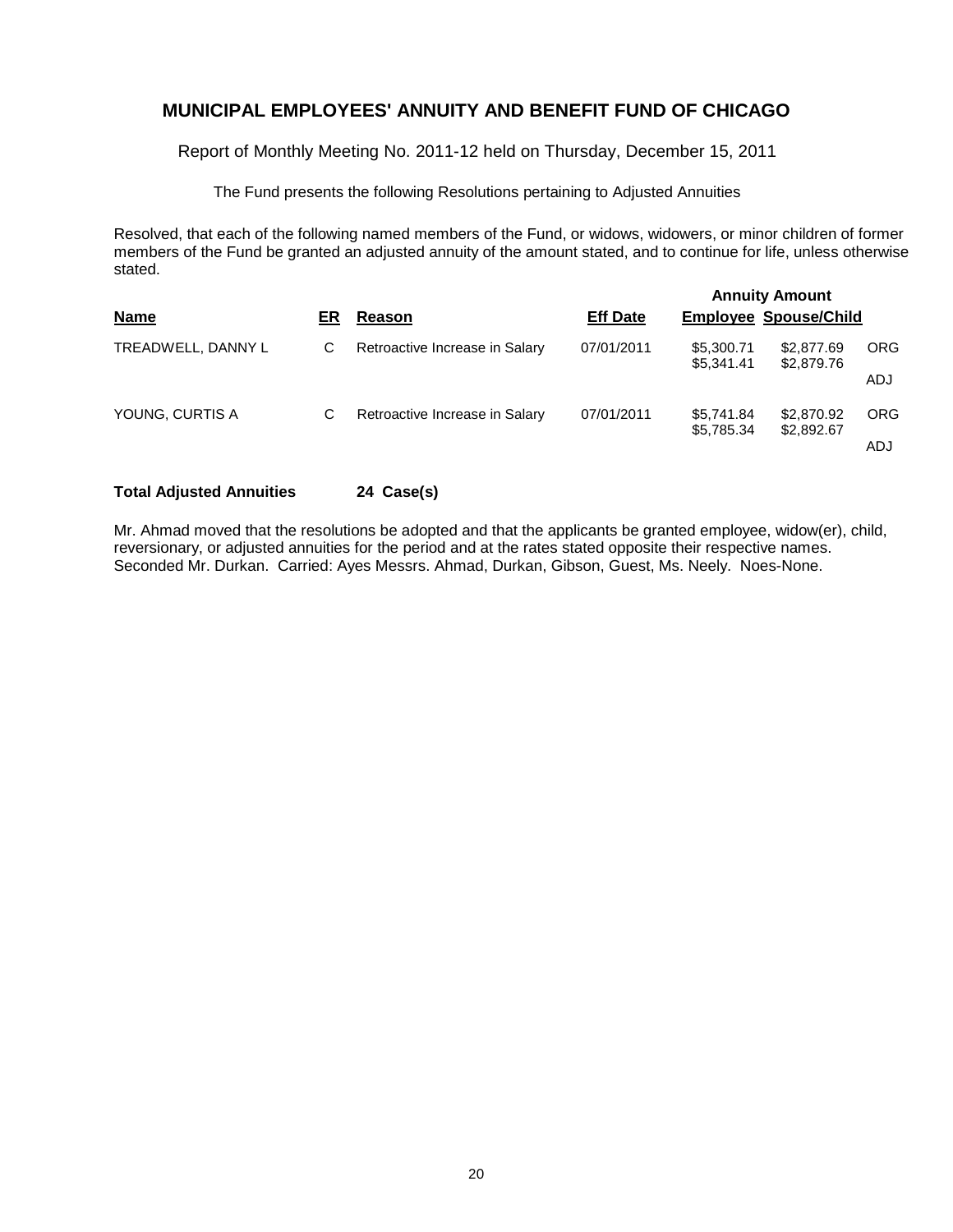Report of Monthly Meeting No. 2011-12 held on Thursday, December 15, 2011

The Fund presents the following Resolutions pertaining to Adjusted Annuities

Resolved, that each of the following named members of the Fund, or widows, widowers, or minor children of former members of the Fund be granted an adjusted annuity of the amount stated, and to continue for life, unless otherwise stated.

| ER | Reason                         | <b>Eff Date</b> |                          |                          |                                                                     |
|----|--------------------------------|-----------------|--------------------------|--------------------------|---------------------------------------------------------------------|
| С  | Retroactive Increase in Salary | 07/01/2011      | \$5,300.71<br>\$5.341.41 | \$2,877.69<br>\$2,879.76 | <b>ORG</b>                                                          |
|    |                                |                 |                          |                          | ADJ                                                                 |
| С  | Retroactive Increase in Salary | 07/01/2011      | \$5.741.84               | \$2,870.92               | <b>ORG</b>                                                          |
|    |                                |                 |                          |                          | ADJ                                                                 |
|    |                                |                 |                          | \$5,785.34               | <b>Annuity Amount</b><br><b>Employee Spouse/Child</b><br>\$2,892.67 |

## **Total Adjusted Annuities 24 Case(s)**

Mr. Ahmad moved that the resolutions be adopted and that the applicants be granted employee, widow(er), child, reversionary, or adjusted annuities for the period and at the rates stated opposite their respective names. Seconded Mr. Durkan. Carried: Ayes Messrs. Ahmad, Durkan, Gibson, Guest, Ms. Neely. Noes-None.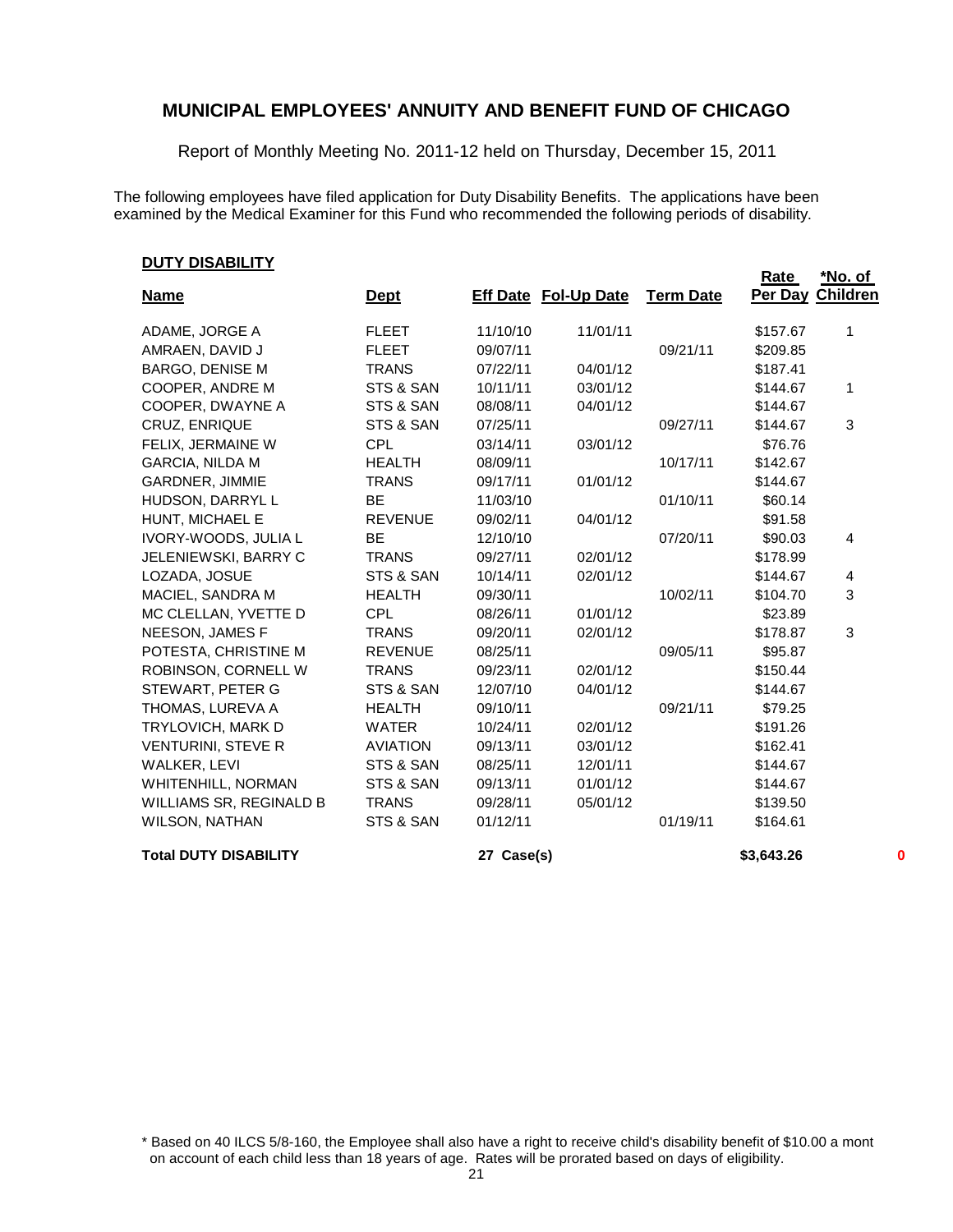Report of Monthly Meeting No. 2011-12 held on Thursday, December 15, 2011

The following employees have filed application for Duty Disability Benefits. The applications have been examined by the Medical Examiner for this Fund who recommended the following periods of disability.

#### **DUTY DISABILITY**

| <b>Name</b>                  | <u>Dept</u>     |            | <b>Eff Date Fol-Up Date</b> | <b>Term Date</b> | Rate       | <u>*No. of</u><br>Per Day Children |
|------------------------------|-----------------|------------|-----------------------------|------------------|------------|------------------------------------|
|                              |                 |            |                             |                  |            |                                    |
| ADAME, JORGE A               | <b>FLEET</b>    | 11/10/10   | 11/01/11                    |                  | \$157.67   | 1                                  |
| AMRAEN, DAVID J              | <b>FLEET</b>    | 09/07/11   |                             | 09/21/11         | \$209.85   |                                    |
| <b>BARGO, DENISE M</b>       | <b>TRANS</b>    | 07/22/11   | 04/01/12                    |                  | \$187.41   |                                    |
| COOPER, ANDRE M              | STS & SAN       | 10/11/11   | 03/01/12                    |                  | \$144.67   | $\mathbf 1$                        |
| COOPER, DWAYNE A             | STS & SAN       | 08/08/11   | 04/01/12                    |                  | \$144.67   |                                    |
| CRUZ, ENRIQUE                | STS & SAN       | 07/25/11   |                             | 09/27/11         | \$144.67   | 3                                  |
| FELIX, JERMAINE W            | <b>CPL</b>      | 03/14/11   | 03/01/12                    |                  | \$76.76    |                                    |
| <b>GARCIA, NILDA M</b>       | <b>HEALTH</b>   | 08/09/11   |                             | 10/17/11         | \$142.67   |                                    |
| <b>GARDNER, JIMMIE</b>       | <b>TRANS</b>    | 09/17/11   | 01/01/12                    |                  | \$144.67   |                                    |
| HUDSON, DARRYL L             | <b>BE</b>       | 11/03/10   |                             | 01/10/11         | \$60.14    |                                    |
| HUNT, MICHAEL E              | <b>REVENUE</b>  | 09/02/11   | 04/01/12                    |                  | \$91.58    |                                    |
| IVORY-WOODS, JULIA L         | <b>BE</b>       | 12/10/10   |                             | 07/20/11         | \$90.03    | 4                                  |
| JELENIEWSKI, BARRY C         | <b>TRANS</b>    | 09/27/11   | 02/01/12                    |                  | \$178.99   |                                    |
| LOZADA, JOSUE                | STS & SAN       | 10/14/11   | 02/01/12                    |                  | \$144.67   | 4                                  |
| MACIEL, SANDRA M             | <b>HEALTH</b>   | 09/30/11   |                             | 10/02/11         | \$104.70   | 3                                  |
| MC CLELLAN, YVETTE D         | <b>CPL</b>      | 08/26/11   | 01/01/12                    |                  | \$23.89    |                                    |
| NEESON, JAMES F              | <b>TRANS</b>    | 09/20/11   | 02/01/12                    |                  | \$178.87   | 3                                  |
| POTESTA, CHRISTINE M         | <b>REVENUE</b>  | 08/25/11   |                             | 09/05/11         | \$95.87    |                                    |
| ROBINSON, CORNELL W          | <b>TRANS</b>    | 09/23/11   | 02/01/12                    |                  | \$150.44   |                                    |
| STEWART, PETER G             | STS & SAN       | 12/07/10   | 04/01/12                    |                  | \$144.67   |                                    |
| THOMAS, LUREVA A             | <b>HEALTH</b>   | 09/10/11   |                             | 09/21/11         | \$79.25    |                                    |
| TRYLOVICH, MARK D            | <b>WATER</b>    | 10/24/11   | 02/01/12                    |                  | \$191.26   |                                    |
| <b>VENTURINI, STEVE R</b>    | <b>AVIATION</b> | 09/13/11   | 03/01/12                    |                  | \$162.41   |                                    |
| WALKER, LEVI                 | STS & SAN       | 08/25/11   | 12/01/11                    |                  | \$144.67   |                                    |
| <b>WHITENHILL, NORMAN</b>    | STS & SAN       | 09/13/11   | 01/01/12                    |                  | \$144.67   |                                    |
| WILLIAMS SR, REGINALD B      | <b>TRANS</b>    | 09/28/11   | 05/01/12                    |                  | \$139.50   |                                    |
| WILSON, NATHAN               | STS & SAN       | 01/12/11   |                             | 01/19/11         | \$164.61   |                                    |
| <b>Total DUTY DISABILITY</b> |                 | 27 Case(s) |                             |                  | \$3,643.26 | 0                                  |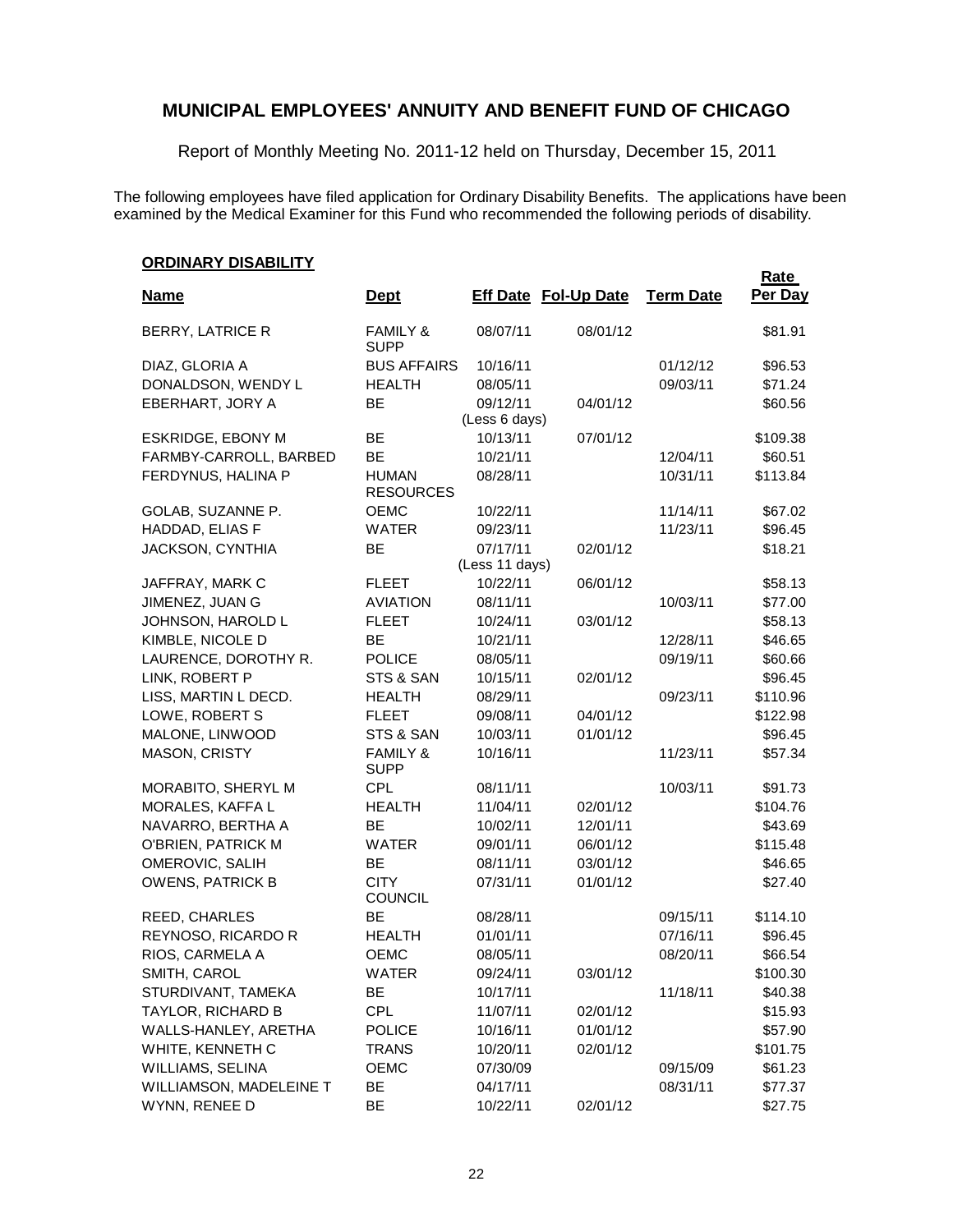Report of Monthly Meeting No. 2011-12 held on Thursday, December 15, 2011

The following employees have filed application for Ordinary Disability Benefits. The applications have been examined by the Medical Examiner for this Fund who recommended the following periods of disability.

#### **ORDINARY DISABILITY**

| <u>Siveny in Pio, islamini</u><br><u>Name</u> | <b>Dept</b>                        |                | <b>Eff Date Fol-Up Date</b> | <b>Term Date</b> | <b>Rate</b><br>Per Day |
|-----------------------------------------------|------------------------------------|----------------|-----------------------------|------------------|------------------------|
| BERRY, LATRICE R                              | <b>FAMILY &amp;</b><br><b>SUPP</b> | 08/07/11       | 08/01/12                    |                  | \$81.91                |
| DIAZ, GLORIA A                                | <b>BUS AFFAIRS</b>                 | 10/16/11       |                             | 01/12/12         | \$96.53                |
| DONALDSON, WENDY L                            | <b>HEALTH</b>                      | 08/05/11       |                             | 09/03/11         | \$71.24                |
| EBERHART, JORY A                              | BE                                 | 09/12/11       | 04/01/12                    |                  | \$60.56                |
|                                               |                                    | (Less 6 days)  |                             |                  |                        |
| ESKRIDGE, EBONY M                             | BE                                 | 10/13/11       | 07/01/12                    |                  | \$109.38               |
| FARMBY-CARROLL, BARBED                        | BE                                 | 10/21/11       |                             | 12/04/11         | \$60.51                |
| FERDYNUS, HALINA P                            | <b>HUMAN</b><br><b>RESOURCES</b>   | 08/28/11       |                             | 10/31/11         | \$113.84               |
| GOLAB, SUZANNE P.                             | OEMC                               | 10/22/11       |                             | 11/14/11         | \$67.02                |
| HADDAD, ELIAS F                               | <b>WATER</b>                       | 09/23/11       |                             | 11/23/11         | \$96.45                |
| JACKSON, CYNTHIA                              | BE                                 | 07/17/11       | 02/01/12                    |                  | \$18.21                |
|                                               |                                    | (Less 11 days) |                             |                  |                        |
| JAFFRAY, MARK C                               | <b>FLEET</b>                       | 10/22/11       | 06/01/12                    |                  | \$58.13                |
| JIMENEZ, JUAN G                               | <b>AVIATION</b>                    | 08/11/11       |                             | 10/03/11         | \$77.00                |
| JOHNSON, HAROLD L                             | <b>FLEET</b>                       | 10/24/11       | 03/01/12                    |                  | \$58.13                |
| KIMBLE, NICOLE D                              | BE                                 | 10/21/11       |                             | 12/28/11         | \$46.65                |
| LAURENCE, DOROTHY R.                          | <b>POLICE</b>                      | 08/05/11       |                             | 09/19/11         | \$60.66                |
| LINK, ROBERT P                                | STS & SAN                          | 10/15/11       | 02/01/12                    |                  | \$96.45                |
| LISS, MARTIN L DECD.                          | <b>HEALTH</b>                      | 08/29/11       |                             | 09/23/11         | \$110.96               |
| LOWE, ROBERT S                                | <b>FLEET</b>                       | 09/08/11       | 04/01/12                    |                  | \$122.98               |
| MALONE, LINWOOD                               | STS & SAN                          | 10/03/11       | 01/01/12                    |                  | \$96.45                |
| MASON, CRISTY                                 | <b>FAMILY &amp;</b><br><b>SUPP</b> | 10/16/11       |                             | 11/23/11         | \$57.34                |
| MORABITO, SHERYL M                            | <b>CPL</b>                         | 08/11/11       |                             | 10/03/11         | \$91.73                |
| MORALES, KAFFA L                              | <b>HEALTH</b>                      | 11/04/11       | 02/01/12                    |                  | \$104.76               |
| NAVARRO, BERTHA A                             | BE                                 | 10/02/11       | 12/01/11                    |                  | \$43.69                |
| O'BRIEN, PATRICK M                            | <b>WATER</b>                       | 09/01/11       | 06/01/12                    |                  | \$115.48               |
| OMEROVIC, SALIH                               | BE                                 | 08/11/11       | 03/01/12                    |                  | \$46.65                |
| <b>OWENS, PATRICK B</b>                       | <b>CITY</b><br><b>COUNCIL</b>      | 07/31/11       | 01/01/12                    |                  | \$27.40                |
| REED, CHARLES                                 | BE                                 | 08/28/11       |                             | 09/15/11         | \$114.10               |
| REYNOSO, RICARDO R                            | <b>HEALTH</b>                      | 01/01/11       |                             | 07/16/11         | \$96.45                |
| RIOS, CARMELA A                               | <b>OEMC</b>                        | 08/05/11       |                             | 08/20/11         | \$66.54                |
| SMITH, CAROL                                  | WATER                              | 09/24/11       | 03/01/12                    |                  | \$100.30               |
| STURDIVANT, TAMEKA                            | BE                                 | 10/17/11       |                             | 11/18/11         | \$40.38                |
| TAYLOR, RICHARD B                             | CPL                                | 11/07/11       | 02/01/12                    |                  | \$15.93                |
| WALLS-HANLEY, ARETHA                          | <b>POLICE</b>                      | 10/16/11       | 01/01/12                    |                  | \$57.90                |
| WHITE, KENNETH C                              | <b>TRANS</b>                       | 10/20/11       | 02/01/12                    |                  | \$101.75               |
| WILLIAMS, SELINA                              | <b>OEMC</b>                        | 07/30/09       |                             | 09/15/09         | \$61.23                |
| WILLIAMSON, MADELEINE T                       | BE                                 | 04/17/11       |                             | 08/31/11         | \$77.37                |
| WYNN, RENEE D                                 | BE                                 | 10/22/11       | 02/01/12                    |                  | \$27.75                |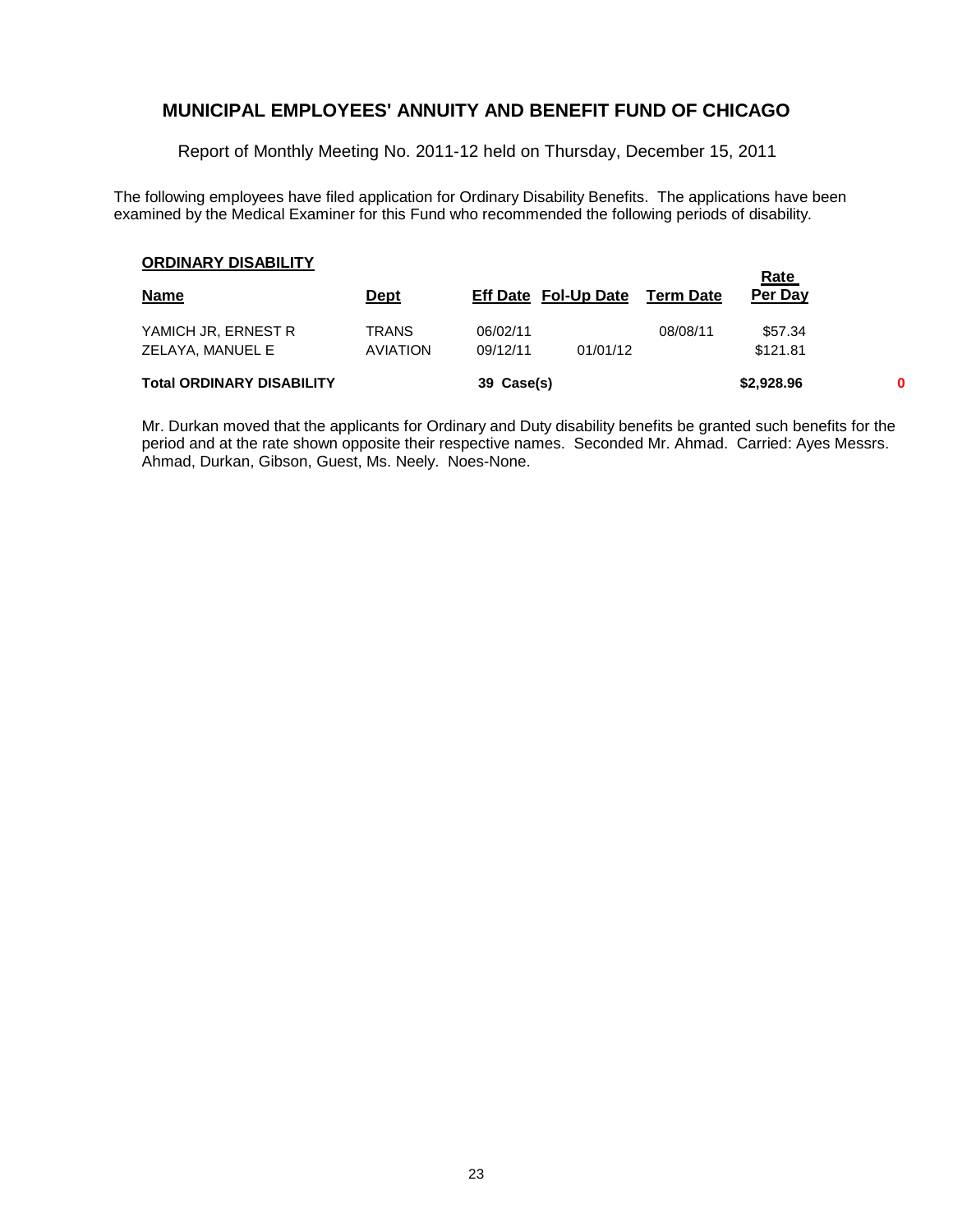Report of Monthly Meeting No. 2011-12 held on Thursday, December 15, 2011

The following employees have filed application for Ordinary Disability Benefits. The applications have been examined by the Medical Examiner for this Fund who recommended the following periods of disability.

#### **ORDINARY DISABILITY**

| UNDINANI DISADILI I              |                 |            |                             |           | <u>Rate</u> |   |
|----------------------------------|-----------------|------------|-----------------------------|-----------|-------------|---|
| <b>Name</b>                      | <u>Dept</u>     |            | <b>Eff Date Fol-Up Date</b> | Term Date | Per Day     |   |
| YAMICH JR, ERNEST R              | <b>TRANS</b>    | 06/02/11   |                             | 08/08/11  | \$57.34     |   |
| ZELAYA, MANUEL E                 | <b>AVIATION</b> | 09/12/11   | 01/01/12                    |           | \$121.81    |   |
| <b>Total ORDINARY DISABILITY</b> |                 | 39 Case(s) |                             |           | \$2,928.96  | 0 |

Mr. Durkan moved that the applicants for Ordinary and Duty disability benefits be granted such benefits for the period and at the rate shown opposite their respective names. Seconded Mr. Ahmad. Carried: Ayes Messrs. Ahmad, Durkan, Gibson, Guest, Ms. Neely. Noes-None.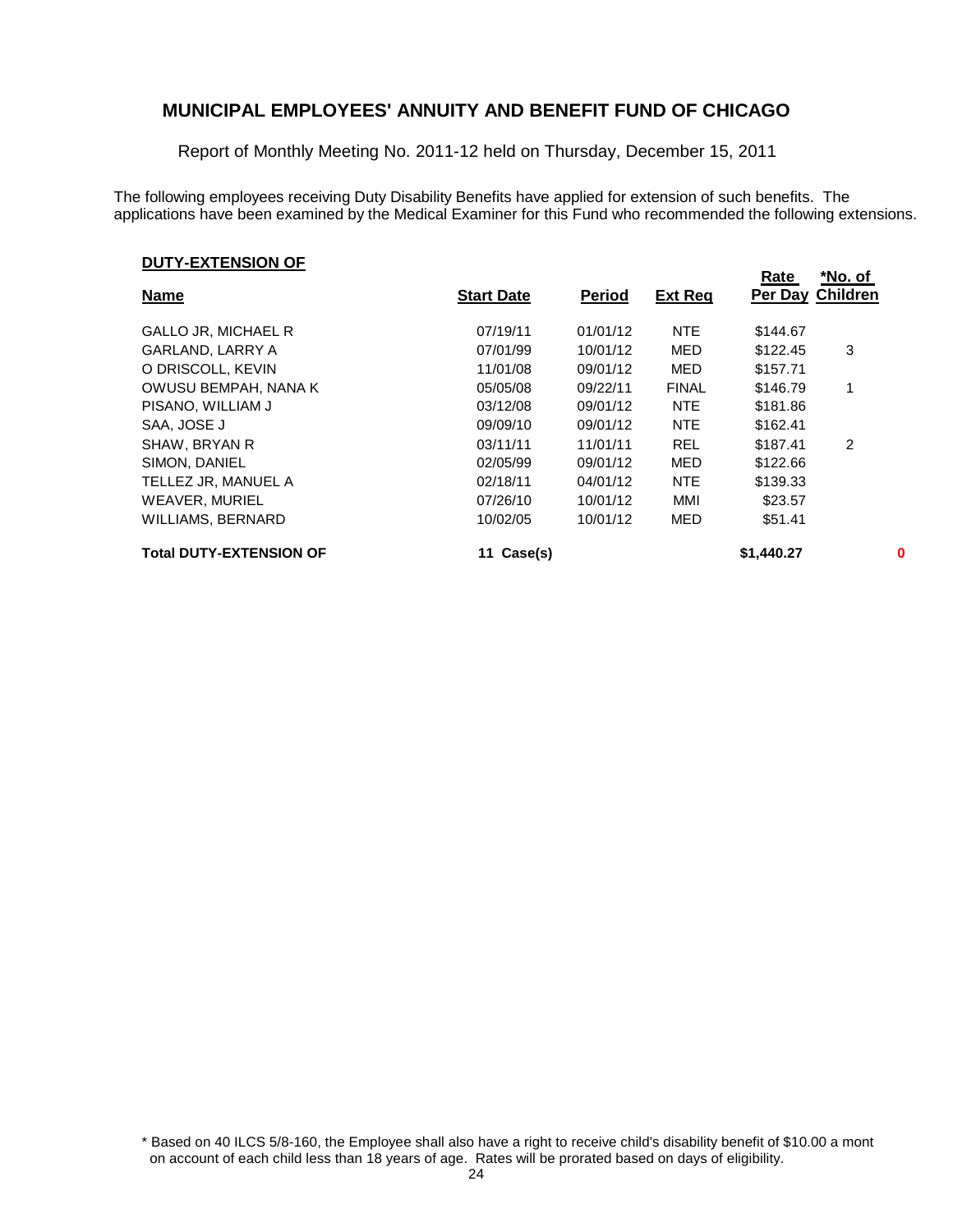Report of Monthly Meeting No. 2011-12 held on Thursday, December 15, 2011

The following employees receiving Duty Disability Benefits have applied for extension of such benefits. The applications have been examined by the Medical Examiner for this Fund who recommended the following extensions.

#### **DUTY-EXTENSION OF**

|                                |                   |               |                | Rate             | *No. of |   |
|--------------------------------|-------------------|---------------|----------------|------------------|---------|---|
| <b>Name</b>                    | <b>Start Date</b> | <b>Period</b> | <b>Ext Req</b> | Per Day Children |         |   |
| <b>GALLO JR, MICHAEL R</b>     | 07/19/11          | 01/01/12      | <b>NTE</b>     | \$144.67         |         |   |
| GARLAND, LARRY A               | 07/01/99          | 10/01/12      | MED            | \$122.45         | 3       |   |
| O DRISCOLL, KEVIN              | 11/01/08          | 09/01/12      | MED            | \$157.71         |         |   |
| OWUSU BEMPAH, NANA K           | 05/05/08          | 09/22/11      | <b>FINAL</b>   | \$146.79         | 1       |   |
| PISANO, WILLIAM J              | 03/12/08          | 09/01/12      | <b>NTE</b>     | \$181.86         |         |   |
| SAA, JOSE J                    | 09/09/10          | 09/01/12      | <b>NTE</b>     | \$162.41         |         |   |
| SHAW, BRYAN R                  | 03/11/11          | 11/01/11      | <b>REL</b>     | \$187.41         | 2       |   |
| SIMON, DANIEL                  | 02/05/99          | 09/01/12      | MED            | \$122.66         |         |   |
| TELLEZ JR, MANUEL A            | 02/18/11          | 04/01/12      | <b>NTE</b>     | \$139.33         |         |   |
| <b>WEAVER, MURIEL</b>          | 07/26/10          | 10/01/12      | MMI            | \$23.57          |         |   |
| WILLIAMS, BERNARD              | 10/02/05          | 10/01/12      | <b>MED</b>     | \$51.41          |         |   |
| <b>Total DUTY-EXTENSION OF</b> | Case(s)           |               |                | \$1,440.27       |         | 0 |

\* Based on 40 ILCS 5/8-160, the Employee shall also have a right to receive child's disability benefit of \$10.00 a mont on account of each child less than 18 years of age. Rates will be prorated based on days of eligibility.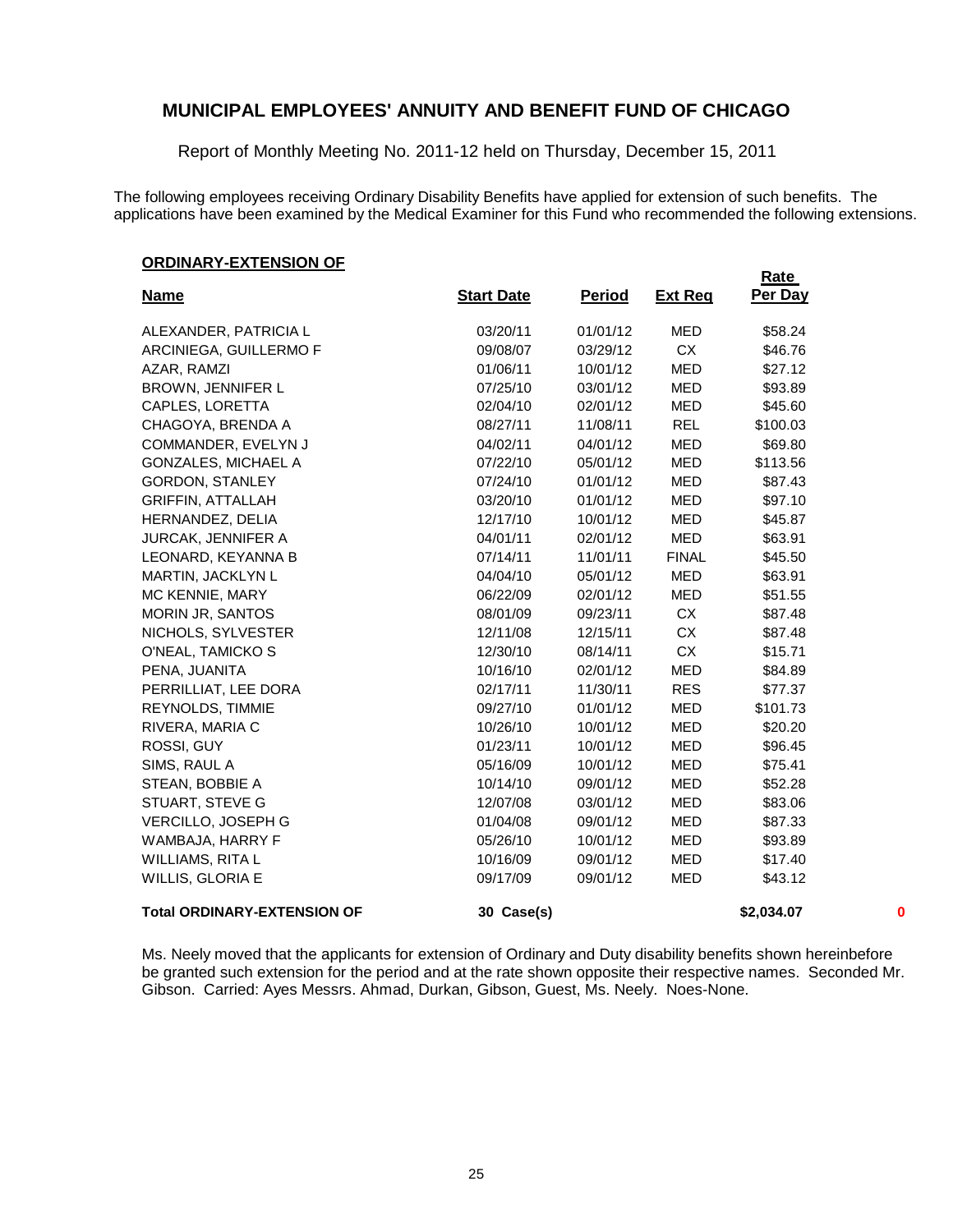Report of Monthly Meeting No. 2011-12 held on Thursday, December 15, 2011

The following employees receiving Ordinary Disability Benefits have applied for extension of such benefits. The applications have been examined by the Medical Examiner for this Fund who recommended the following extensions.

**Rate** 

#### **ORDINARY-EXTENSION OF**

| <b>Name</b>                        | <b>Start Date</b> | <b>Period</b> | <b>Ext Req</b> | Per Day    |          |
|------------------------------------|-------------------|---------------|----------------|------------|----------|
| ALEXANDER, PATRICIA L              | 03/20/11          | 01/01/12      | <b>MED</b>     | \$58.24    |          |
| ARCINIEGA, GUILLERMO F             | 09/08/07          | 03/29/12      | CX             | \$46.76    |          |
| AZAR, RAMZI                        | 01/06/11          | 10/01/12      | <b>MED</b>     | \$27.12    |          |
| BROWN, JENNIFER L                  | 07/25/10          | 03/01/12      | <b>MED</b>     | \$93.89    |          |
| CAPLES, LORETTA                    | 02/04/10          | 02/01/12      | MED            | \$45.60    |          |
| CHAGOYA, BRENDA A                  | 08/27/11          | 11/08/11      | <b>REL</b>     | \$100.03   |          |
| COMMANDER, EVELYN J                | 04/02/11          | 04/01/12      | MED            | \$69.80    |          |
| <b>GONZALES, MICHAEL A</b>         | 07/22/10          | 05/01/12      | <b>MED</b>     | \$113.56   |          |
| <b>GORDON, STANLEY</b>             | 07/24/10          | 01/01/12      | <b>MED</b>     | \$87.43    |          |
| <b>GRIFFIN, ATTALLAH</b>           | 03/20/10          | 01/01/12      | <b>MED</b>     | \$97.10    |          |
| HERNANDEZ, DELIA                   | 12/17/10          | 10/01/12      | <b>MED</b>     | \$45.87    |          |
| <b>JURCAK, JENNIFER A</b>          | 04/01/11          | 02/01/12      | <b>MED</b>     | \$63.91    |          |
| LEONARD, KEYANNA B                 | 07/14/11          | 11/01/11      | <b>FINAL</b>   | \$45.50    |          |
| MARTIN, JACKLYN L                  | 04/04/10          | 05/01/12      | MED            | \$63.91    |          |
| MC KENNIE, MARY                    | 06/22/09          | 02/01/12      | <b>MED</b>     | \$51.55    |          |
| MORIN JR, SANTOS                   | 08/01/09          | 09/23/11      | CX             | \$87.48    |          |
| NICHOLS, SYLVESTER                 | 12/11/08          | 12/15/11      | <b>CX</b>      | \$87.48    |          |
| O'NEAL, TAMICKO S                  | 12/30/10          | 08/14/11      | CX             | \$15.71    |          |
| PENA, JUANITA                      | 10/16/10          | 02/01/12      | <b>MED</b>     | \$84.89    |          |
| PERRILLIAT, LEE DORA               | 02/17/11          | 11/30/11      | <b>RES</b>     | \$77.37    |          |
| REYNOLDS, TIMMIE                   | 09/27/10          | 01/01/12      | <b>MED</b>     | \$101.73   |          |
| RIVERA, MARIA C                    | 10/26/10          | 10/01/12      | <b>MED</b>     | \$20.20    |          |
| ROSSI, GUY                         | 01/23/11          | 10/01/12      | <b>MED</b>     | \$96.45    |          |
| SIMS, RAUL A                       | 05/16/09          | 10/01/12      | <b>MED</b>     | \$75.41    |          |
| STEAN, BOBBIE A                    | 10/14/10          | 09/01/12      | <b>MED</b>     | \$52.28    |          |
| STUART, STEVE G                    | 12/07/08          | 03/01/12      | <b>MED</b>     | \$83.06    |          |
| VERCILLO, JOSEPH G                 | 01/04/08          | 09/01/12      | <b>MED</b>     | \$87.33    |          |
| WAMBAJA, HARRY F                   | 05/26/10          | 10/01/12      | MED            | \$93.89    |          |
| WILLIAMS, RITA L                   | 10/16/09          | 09/01/12      | <b>MED</b>     | \$17.40    |          |
| WILLIS, GLORIA E                   | 09/17/09          | 09/01/12      | <b>MED</b>     | \$43.12    |          |
| <b>Total ORDINARY-EXTENSION OF</b> | 30 Case(s)        |               |                | \$2,034.07 | $\bf{0}$ |

Ms. Neely moved that the applicants for extension of Ordinary and Duty disability benefits shown hereinbefore be granted such extension for the period and at the rate shown opposite their respective names. Seconded Mr. Gibson. Carried: Ayes Messrs. Ahmad, Durkan, Gibson, Guest, Ms. Neely. Noes-None.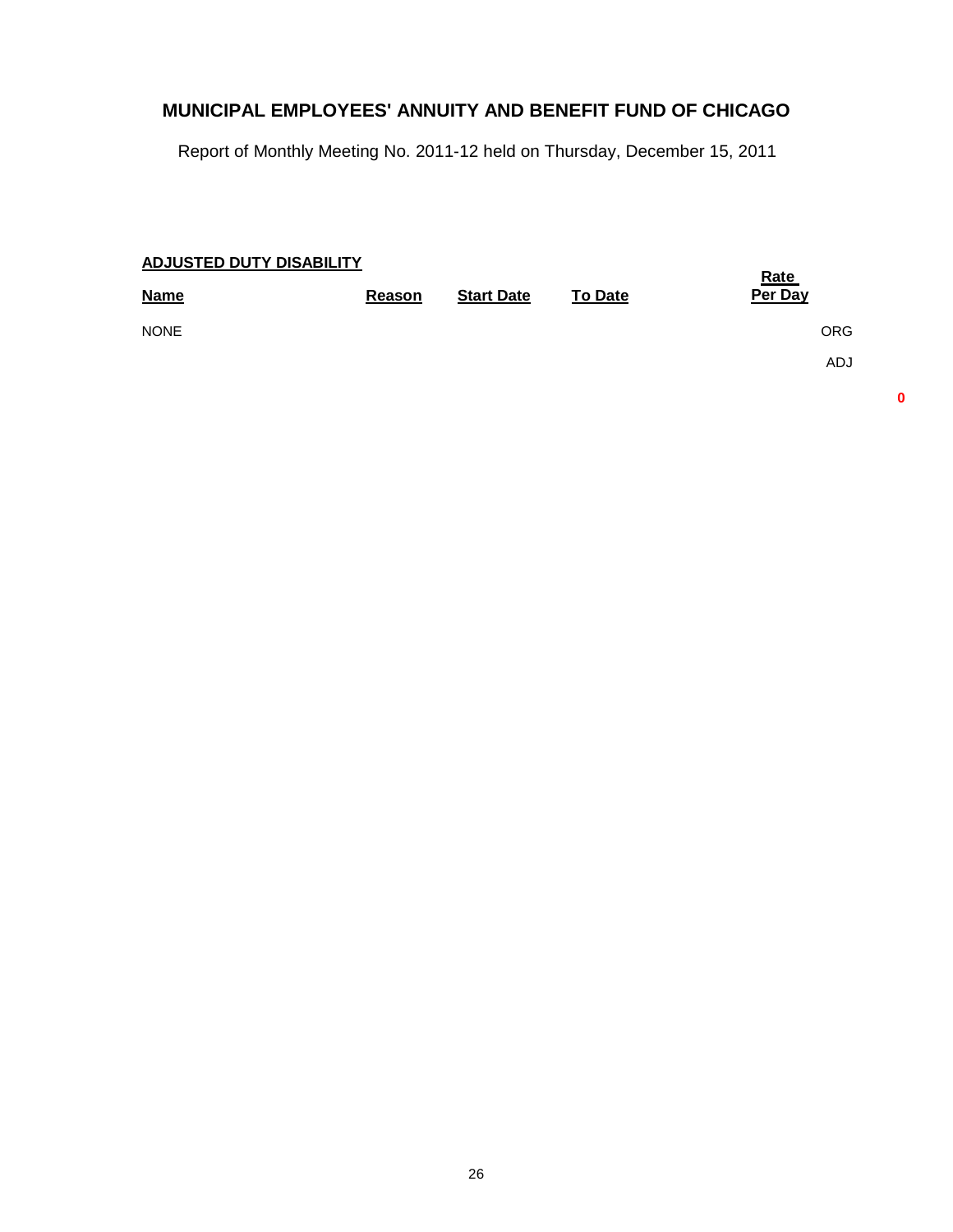Report of Monthly Meeting No. 2011-12 held on Thursday, December 15, 2011

| <b>ADJUSTED DUTY DISABILITY</b> |        |                   |                | <b>Rate</b> |
|---------------------------------|--------|-------------------|----------------|-------------|
| <b>Name</b>                     | Reason | <b>Start Date</b> | <b>To Date</b> | Per Day     |
| <b>NONE</b>                     |        |                   |                | <b>ORG</b>  |
|                                 |        |                   |                | <b>ADJ</b>  |
|                                 |        |                   |                |             |

**0**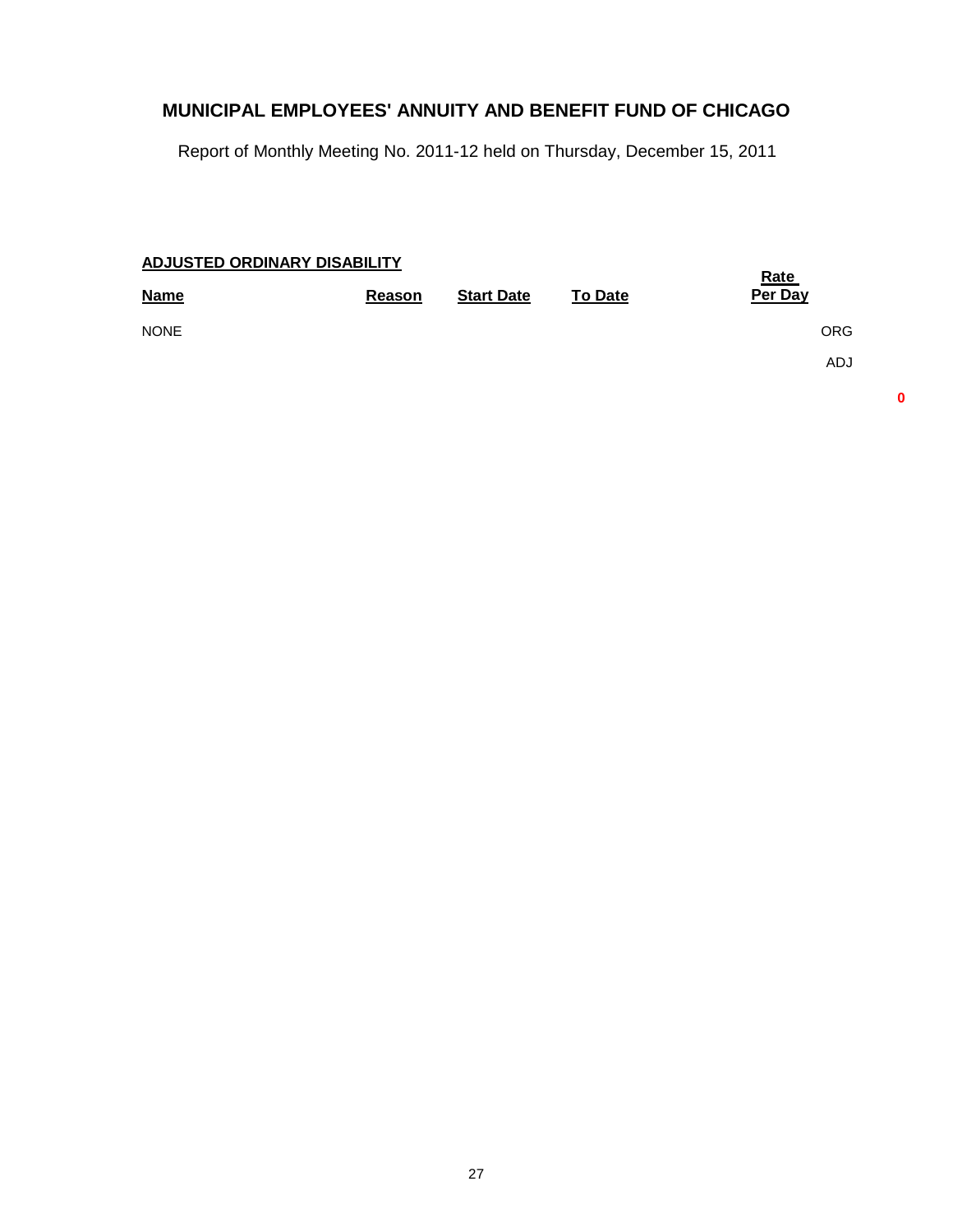Report of Monthly Meeting No. 2011-12 held on Thursday, December 15, 2011

| ADJUSTED ORDINARY DISABILITY |        |                   |                | <u>Rate</u> |
|------------------------------|--------|-------------------|----------------|-------------|
| <b>Name</b>                  | Reason | <b>Start Date</b> | <b>To Date</b> | Per Day     |
| <b>NONE</b>                  |        |                   |                | <b>ORG</b>  |
|                              |        |                   |                | <b>ADJ</b>  |
|                              |        |                   |                |             |

**0**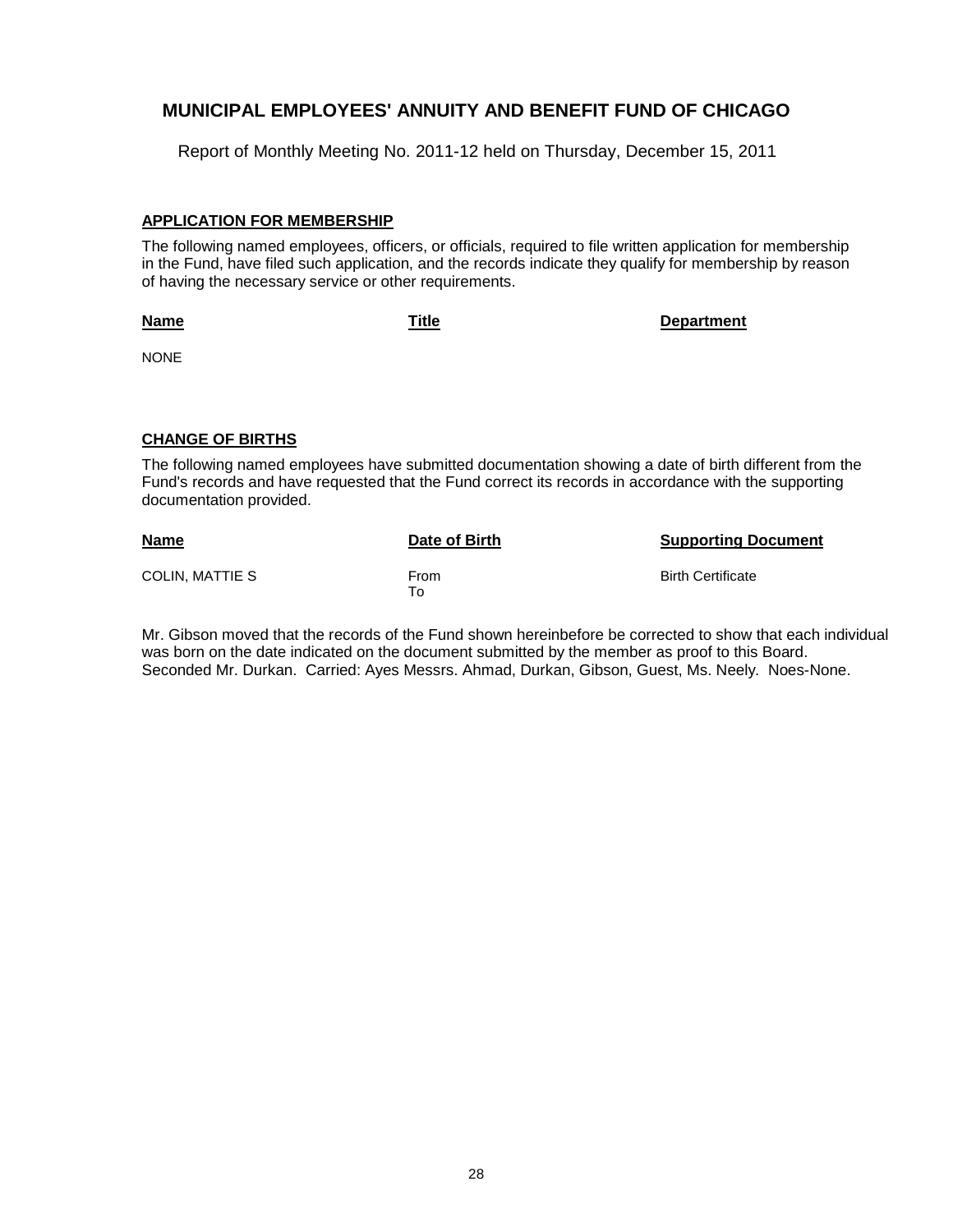Report of Monthly Meeting No. 2011-12 held on Thursday, December 15, 2011

#### **APPLICATION FOR MEMBERSHIP**

The following named employees, officers, or officials, required to file written application for membership in the Fund, have filed such application, and the records indicate they qualify for membership by reason of having the necessary service or other requirements.

**Name**

**Title Department**

NONE

#### **CHANGE OF BIRTHS**

The following named employees have submitted documentation showing a date of birth different from the Fund's records and have requested that the Fund correct its records in accordance with the supporting documentation provided.

| <b>Name</b>     | Date of Birth | <b>Supporting Document</b> |
|-----------------|---------------|----------------------------|
| COLIN. MATTIE S | From<br>To    | <b>Birth Certificate</b>   |

Mr. Gibson moved that the records of the Fund shown hereinbefore be corrected to show that each individual was born on the date indicated on the document submitted by the member as proof to this Board. Seconded Mr. Durkan. Carried: Ayes Messrs. Ahmad, Durkan, Gibson, Guest, Ms. Neely. Noes-None.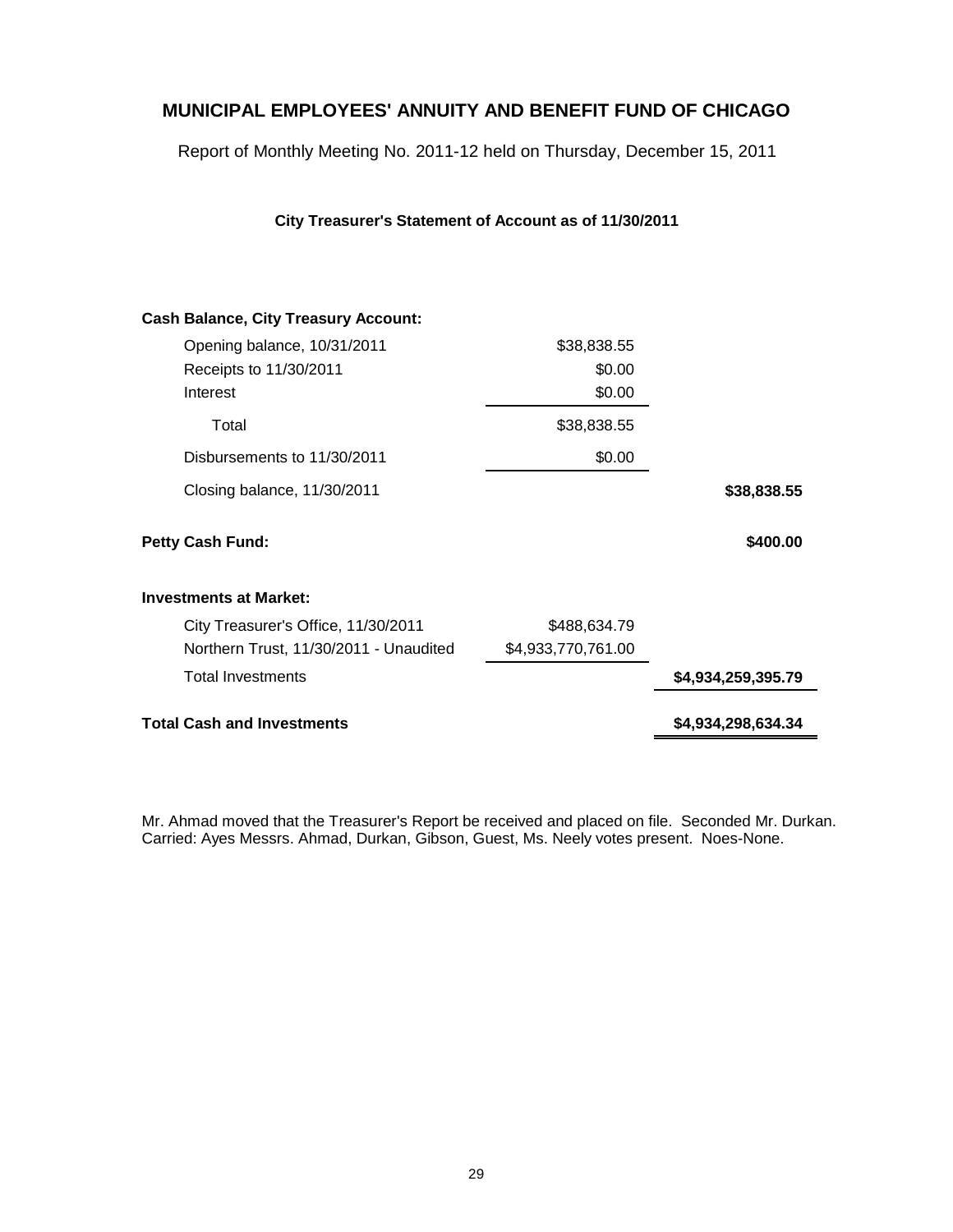Report of Monthly Meeting No. 2011-12 held on Thursday, December 15, 2011

**City Treasurer's Statement of Account as of 11/30/2011**

| \$38,838.55<br>\$400.00<br>\$4,934,259,395.79 |
|-----------------------------------------------|
|                                               |
|                                               |
|                                               |
|                                               |
|                                               |
|                                               |
|                                               |
|                                               |
|                                               |
|                                               |
|                                               |
|                                               |

Mr. Ahmad moved that the Treasurer's Report be received and placed on file. Seconded Mr. Durkan. Carried: Ayes Messrs. Ahmad, Durkan, Gibson, Guest, Ms. Neely votes present. Noes-None.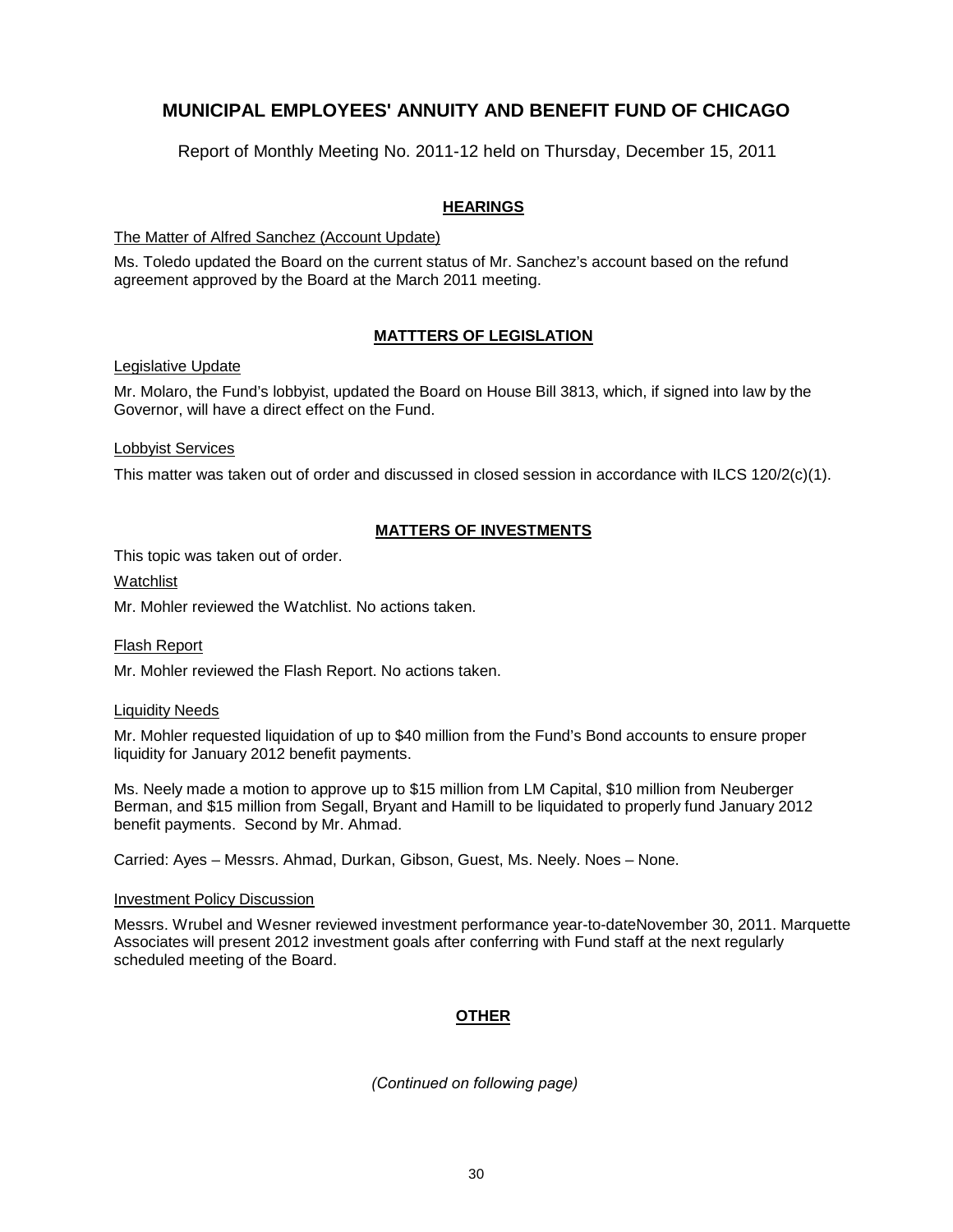Report of Monthly Meeting No. 2011-12 held on Thursday, December 15, 2011

#### **HEARINGS**

The Matter of Alfred Sanchez (Account Update)

Ms. Toledo updated the Board on the current status of Mr. Sanchez's account based on the refund agreement approved by the Board at the March 2011 meeting.

#### **MATTTERS OF LEGISLATION**

Legislative Update

Mr. Molaro, the Fund's lobbyist, updated the Board on House Bill 3813, which, if signed into law by the Governor, will have a direct effect on the Fund.

#### Lobbyist Services

This matter was taken out of order and discussed in closed session in accordance with ILCS 120/2(c)(1).

#### **MATTERS OF INVESTMENTS**

This topic was taken out of order.

#### Watchlist

Mr. Mohler reviewed the Watchlist. No actions taken.

#### Flash Report

Mr. Mohler reviewed the Flash Report. No actions taken.

#### Liquidity Needs

Mr. Mohler requested liquidation of up to \$40 million from the Fund's Bond accounts to ensure proper liquidity for January 2012 benefit payments.

Ms. Neely made a motion to approve up to \$15 million from LM Capital, \$10 million from Neuberger Berman, and \$15 million from Segall, Bryant and Hamill to be liquidated to properly fund January 2012 benefit payments. Second by Mr. Ahmad.

Carried: Ayes – Messrs. Ahmad, Durkan, Gibson, Guest, Ms. Neely. Noes – None.

#### Investment Policy Discussion

Messrs. Wrubel and Wesner reviewed investment performance year-to-dateNovember 30, 2011. Marquette Associates will present 2012 investment goals after conferring with Fund staff at the next regularly scheduled meeting of the Board.

#### **OTHER**

*(Continued on following page)*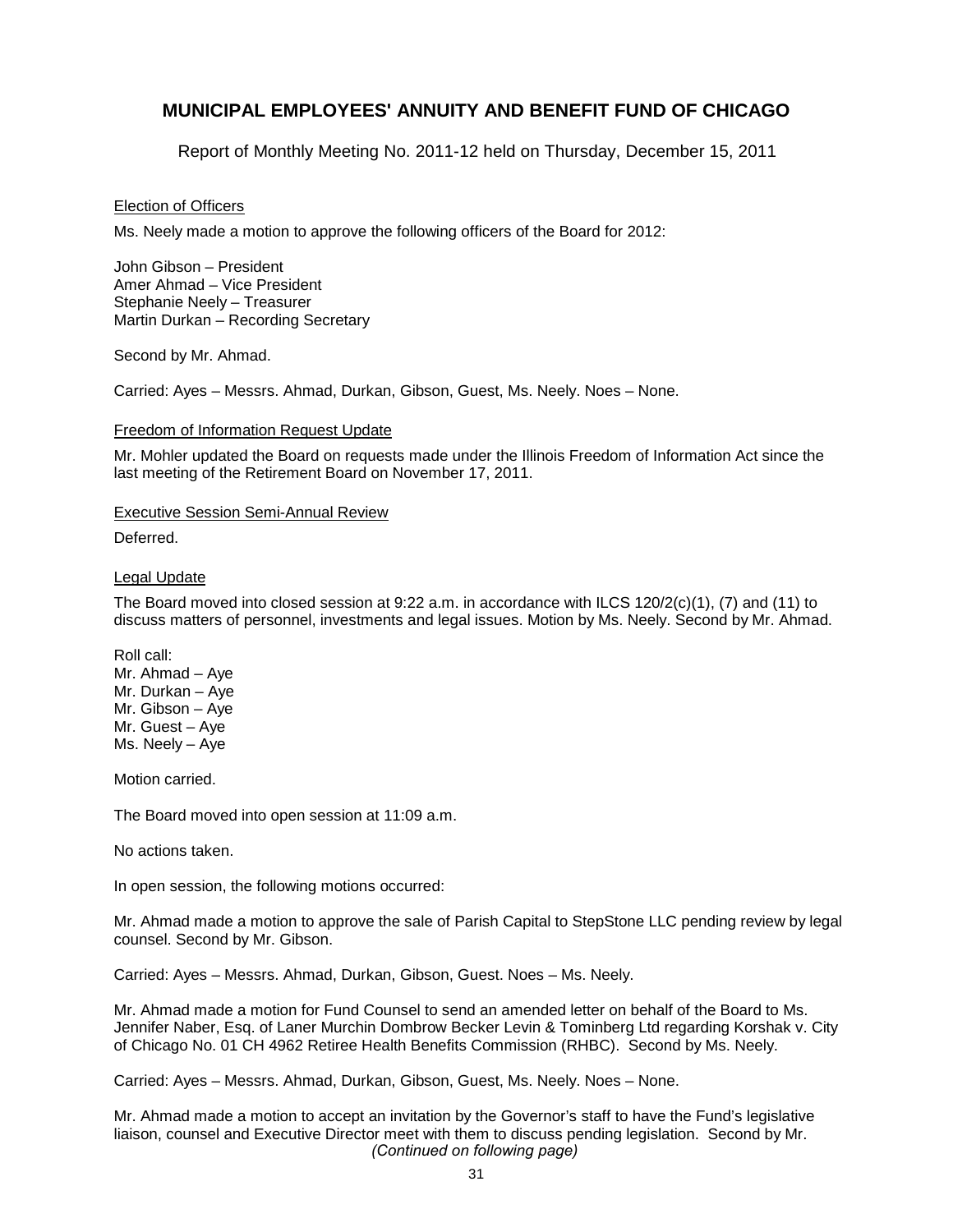Report of Monthly Meeting No. 2011-12 held on Thursday, December 15, 2011

#### Election of Officers

Ms. Neely made a motion to approve the following officers of the Board for 2012:

John Gibson – President Amer Ahmad – Vice President Stephanie Neely – Treasurer Martin Durkan – Recording Secretary

Second by Mr. Ahmad.

Carried: Ayes – Messrs. Ahmad, Durkan, Gibson, Guest, Ms. Neely. Noes – None.

#### Freedom of Information Request Update

Mr. Mohler updated the Board on requests made under the Illinois Freedom of Information Act since the last meeting of the Retirement Board on November 17, 2011.

#### Executive Session Semi-Annual Review

Deferred.

#### Legal Update

The Board moved into closed session at 9:22 a.m. in accordance with ILCS 120/2(c)(1), (7) and (11) to discuss matters of personnel, investments and legal issues. Motion by Ms. Neely. Second by Mr. Ahmad.

Roll call: Mr. Ahmad – Aye Mr. Durkan – Aye Mr. Gibson – Aye Mr. Guest – Aye Ms. Neely – Aye

Motion carried.

The Board moved into open session at 11:09 a.m.

No actions taken.

In open session, the following motions occurred:

Mr. Ahmad made a motion to approve the sale of Parish Capital to StepStone LLC pending review by legal counsel. Second by Mr. Gibson.

Carried: Ayes – Messrs. Ahmad, Durkan, Gibson, Guest. Noes – Ms. Neely.

Mr. Ahmad made a motion for Fund Counsel to send an amended letter on behalf of the Board to Ms. Jennifer Naber, Esq. of Laner Murchin Dombrow Becker Levin & Tominberg Ltd regarding Korshak v. City of Chicago No. 01 CH 4962 Retiree Health Benefits Commission (RHBC). Second by Ms. Neely.

Carried: Ayes – Messrs. Ahmad, Durkan, Gibson, Guest, Ms. Neely. Noes – None.

Mr. Ahmad made a motion to accept an invitation by the Governor's staff to have the Fund's legislative liaison, counsel and Executive Director meet with them to discuss pending legislation. Second by Mr. *(Continued on following page)*